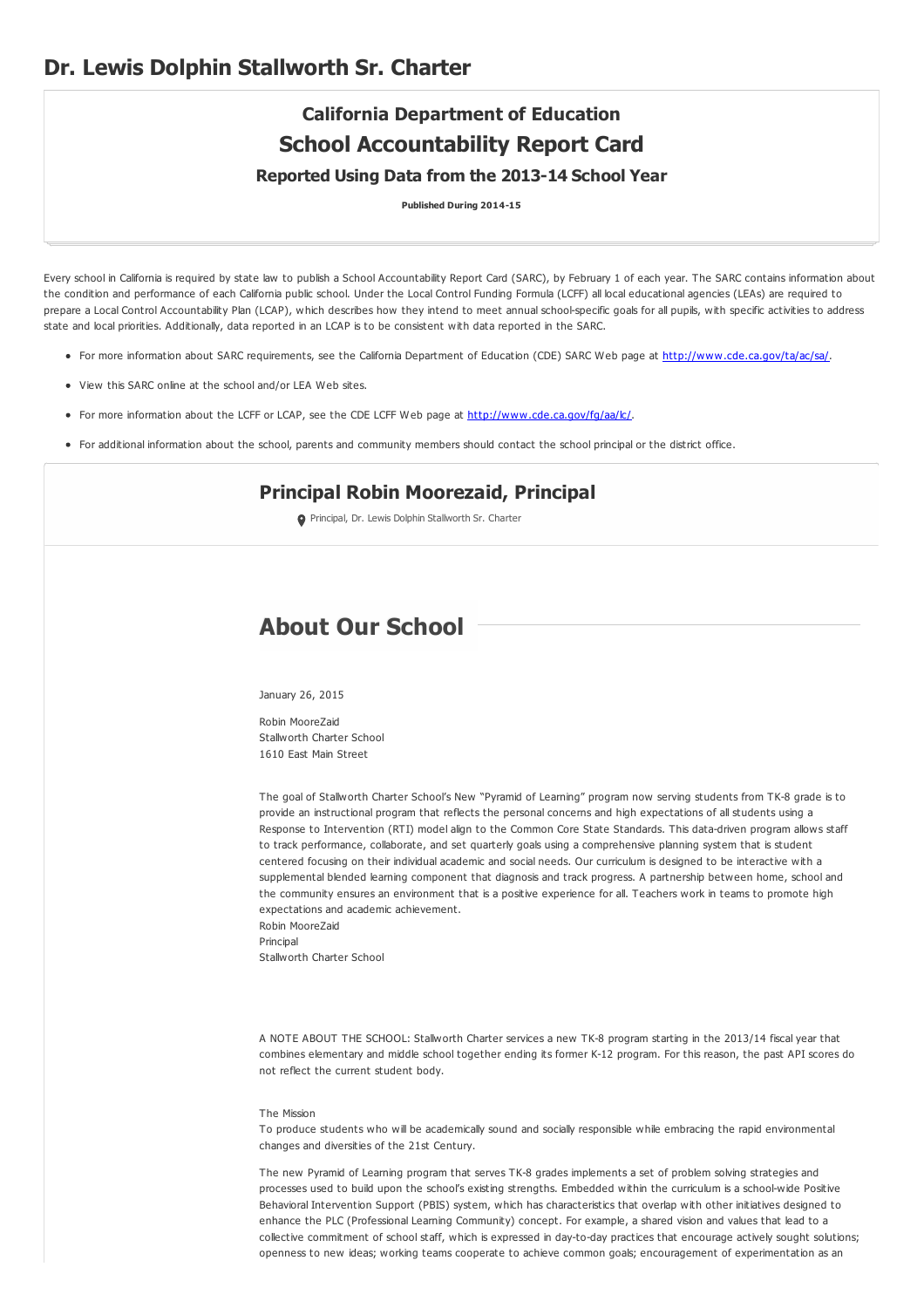# **California Department of Education School Accountability Report Card Reported Using Data from the 2013-14 School Year**

**Published During 2014-15**

Every school in California is required by state law to publish a School Accountability Report Card (SARC), by February 1 of each year. The SARC contains information about the condition and performance of each California public school. Under the Local Control Funding Formula (LCFF) all local educational agencies (LEAs) are required to prepare a Local Control Accountability Plan (LCAP), which describes how they intend to meet annual school-specific goals for all pupils, with specific activities to address state and local priorities. Additionally, data reported in an LCAP is to be consistent with data reported in the SARC.

- For more information about SARC requirements, see the California Department of Education (CDE) SARC Web page at <http://www.cde.ca.gov/ta/ac/sa/>.
- View this SARC online at the school and/or LEA Web sites.
- For more information about the LCFF or LCAP, see the CDE LCFF Web page at [http://www.cde.ca.gov/fg/aa/lc/](http://www.cde.ca.gov/fg/aa/lc/.).
- For additional information about the school, parents and community members should contact the school principal or the district office.

# **Principal Robin Moorezaid, Principal**

Principal, Dr. Lewis Dolphin Stallworth Sr. Charter

# **About Our School**

January 26, 2015

Robin MooreZaid Stallworth Charter School 1610 East Main Street

The goal of Stallworth Charter School's New "Pyramid of Learning" program now serving students from TK-8 grade is to provide an instructional program that reflects the personal concerns and high expectations of all students using a Response to Intervention (RTI) model align to the Common Core State Standards. This data-driven program allows staff to track performance, collaborate, and set quarterly goals using a comprehensive planning system that is student centered focusing on their individual academic and social needs. Our curriculum is designed to be interactive with a supplemental blended learning component that diagnosis and track progress. A partnership between home, school and the community ensures an environment that is a positive experience for all. Teachers work in teams to promote high expectations and academic achievement.

Robin MooreZaid Principal

Stallworth Charter School

A NOTE ABOUT THE SCHOOL: Stallworth Charter services a new TK-8 program starting in the 2013/14 fiscal year that combines elementary and middle school together ending its former K-12 program. For this reason, the past API scores do not reflect the current student body.

### The Mission

To produce students who will be academically sound and socially responsible while embracing the rapid environmental changes and diversities of the 21st Century.

The new Pyramid of Learning program that serves TK-8 grades implements a set of problem solving strategies and processes used to build upon the school's existing strengths. Embedded within the curriculum is a school-wide Positive Behavioral Intervention Support (PBIS) system, which has characteristics that overlap with other initiatives designed to enhance the PLC (Professional Learning Community) concept. For example, a shared vision and values that lead to a collective commitment of school staff, which is expressed in day-to-day practices that encourage actively sought solutions; openness to new ideas; working teams cooperate to achieve common goals; encouragement of experimentation as an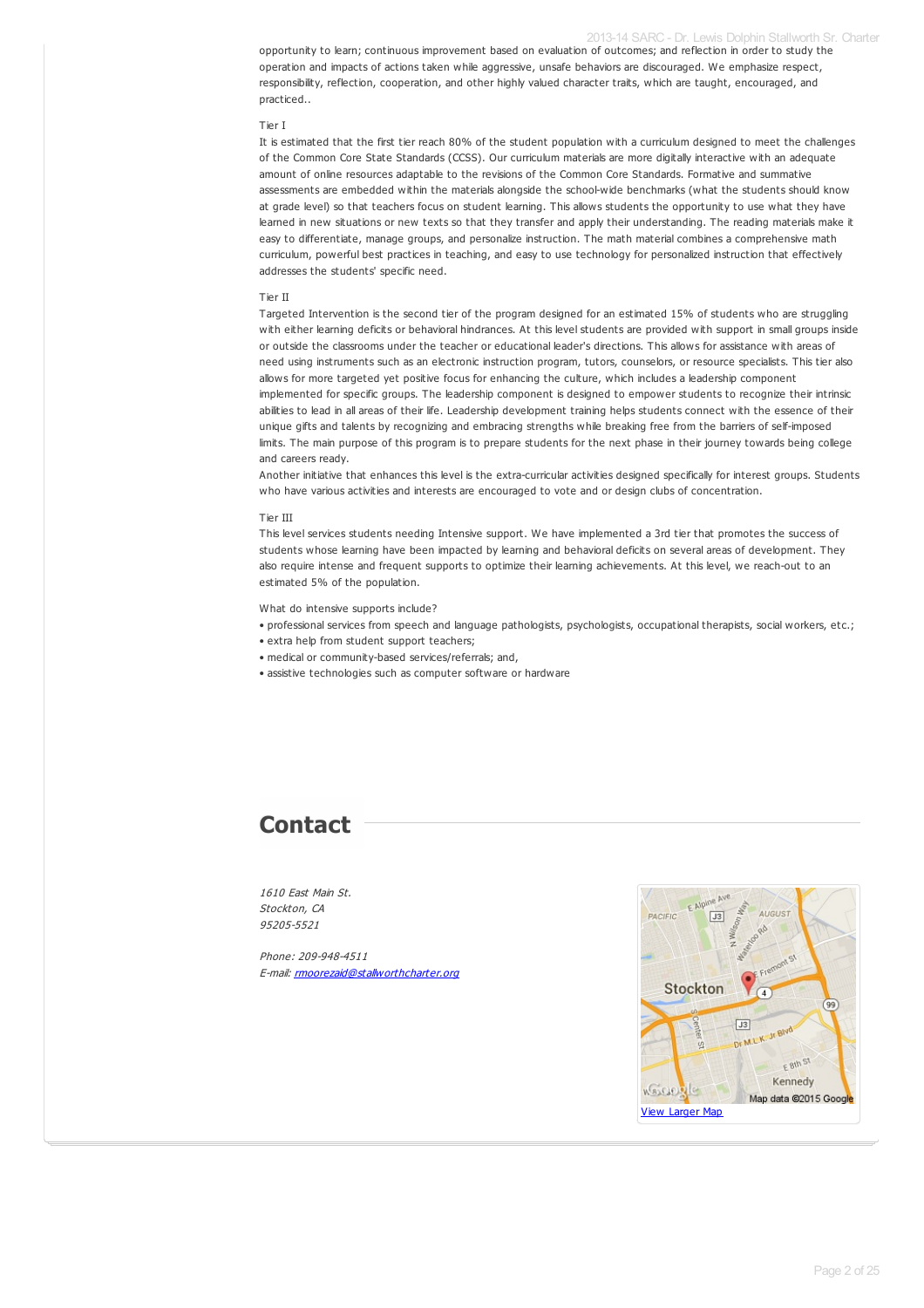### 2013-14 SARC - Dr. Lewis Dolphin Stallworth Sr. Charter

opportunity to learn; continuous improvement based on evaluation of outcomes; and reflection in order to study the operation and impacts of actions taken while aggressive, unsafe behaviors are discouraged. We emphasize respect, responsibility, reflection, cooperation, and other highly valued character traits, which are taught, encouraged, and practiced..

### Tier I

It is estimated that the first tier reach 80% of the student population with a curriculum designed to meet the challenges of the Common Core State Standards (CCSS). Our curriculum materials are more digitally interactive with an adequate amount of online resources adaptable to the revisions of the Common Core Standards. Formative and summative assessments are embedded within the materials alongside the school-wide benchmarks (what the students should know at grade level) so that teachers focus on student learning. This allows students the opportunity to use what they have learned in new situations or new texts so that they transfer and apply their understanding. The reading materials make it easy to differentiate, manage groups, and personalize instruction. The math material combines a comprehensive math curriculum, powerful best practices in teaching, and easy to use technology for personalized instruction that effectively addresses the students' specific need.

#### Tier II

Targeted Intervention is the second tier of the program designed for an estimated 15% of students who are struggling with either learning deficits or behavioral hindrances. At this level students are provided with support in small groups inside or outside the classrooms under the teacher or educational leader's directions. This allows for assistance with areas of need using instruments such as an electronic instruction program, tutors, counselors, or resource specialists. This tier also allows for more targeted yet positive focus for enhancing the culture, which includes a leadership component implemented for specific groups. The leadership component is designed to empower students to recognize their intrinsic abilities to lead in all areas of their life. Leadership development training helps students connect with the essence of their unique gifts and talents by recognizing and embracing strengths while breaking free from the barriers of self-imposed limits. The main purpose of this program is to prepare students for the next phase in their journey towards being college and careers ready.

Another initiative that enhances this level is the extra-curricular activities designed specifically for interest groups. Students who have various activities and interests are encouraged to vote and or design clubs of concentration.

#### Tier III

This level services students needing Intensive support. We have implemented a 3rd tier that promotes the success of students whose learning have been impacted by learning and behavioral deficits on several areas of development. They also require intense and frequent supports to optimize their learning achievements. At this level, we reach-out to an estimated 5% of the population.

What do intensive supports include?

- professional services from speech and language pathologists, psychologists, occupational therapists, social workers, etc.;
- extra help from student support teachers;
- medical or community-based services/referrals; and,
- assistive technologies such as computer software or hardware

# **Contact**

1610 East Main St. Stockton, CA 95205-5521

Phone: 209-948-4511 E-mail: **[rmoorezaid@stallworthcharter.org](mailto:rmoorezaid@stallworthcharter.org)** 

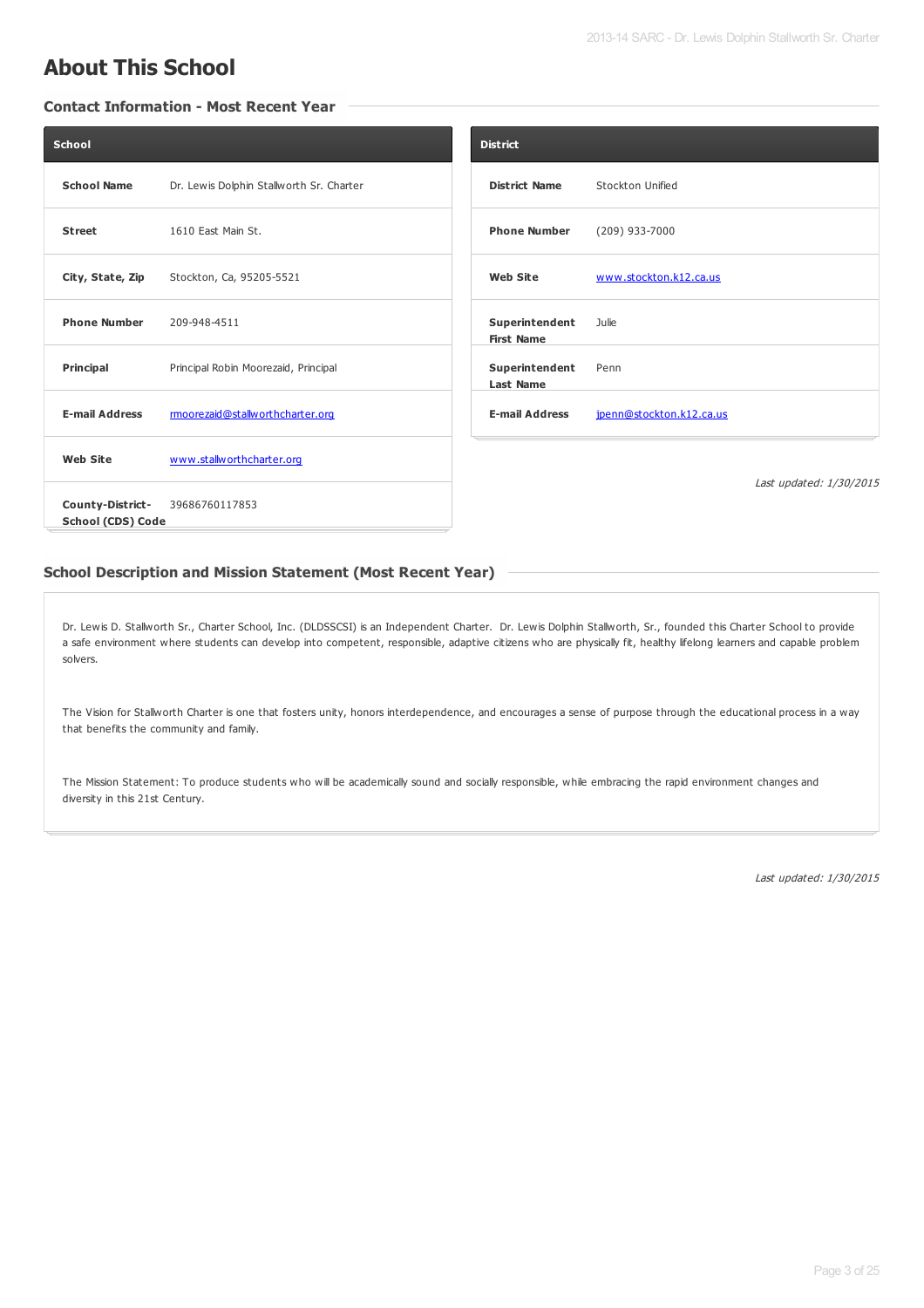# **About This School**

## **Contact Information - Most Recent Year**

| School                                       |                                          | <b>District</b>                     |                          |                         |
|----------------------------------------------|------------------------------------------|-------------------------------------|--------------------------|-------------------------|
| <b>School Name</b>                           | Dr. Lewis Dolphin Stallworth Sr. Charter | <b>District Name</b>                | Stockton Unified         |                         |
| <b>Street</b>                                | 1610 East Main St.                       | <b>Phone Number</b>                 | (209) 933-7000           |                         |
| City, State, Zip                             | Stockton, Ca, 95205-5521                 | <b>Web Site</b>                     | www.stockton.k12.ca.us   |                         |
| <b>Phone Number</b>                          | 209-948-4511                             | Superintendent<br><b>First Name</b> | Julie                    |                         |
| Principal                                    | Principal Robin Moorezaid, Principal     | Superintendent<br><b>Last Name</b>  | Penn                     |                         |
| <b>E-mail Address</b>                        | rmoorezaid@stallworthcharter.org         | <b>E-mail Address</b>               | jpenn@stockton.k12.ca.us |                         |
| <b>Web Site</b>                              | www.stallworthcharter.org                |                                     |                          |                         |
| County-District-<br><b>School (CDS) Code</b> | 39686760117853                           |                                     |                          | Last updated: 1/30/2015 |

## **School Description and Mission Statement (Most Recent Year)**

Dr. Lewis D. Stallworth Sr., Charter School, Inc. (DLDSSCSI) is an Independent Charter. Dr. Lewis Dolphin Stallworth, Sr., founded this Charter School to provide a safe environment where students can develop into competent, responsible, adaptive citizens who are physically fit, healthy lifelong learners and capable problem solvers.

The Vision for Stallworth Charter is one that fosters unity, honors interdependence, and encourages a sense of purpose through the educational process in a way that benefits the community and family.

The Mission Statement: To produce students who will be academically sound and socially responsible, while embracing the rapid environment changes and diversity in this 21st Century.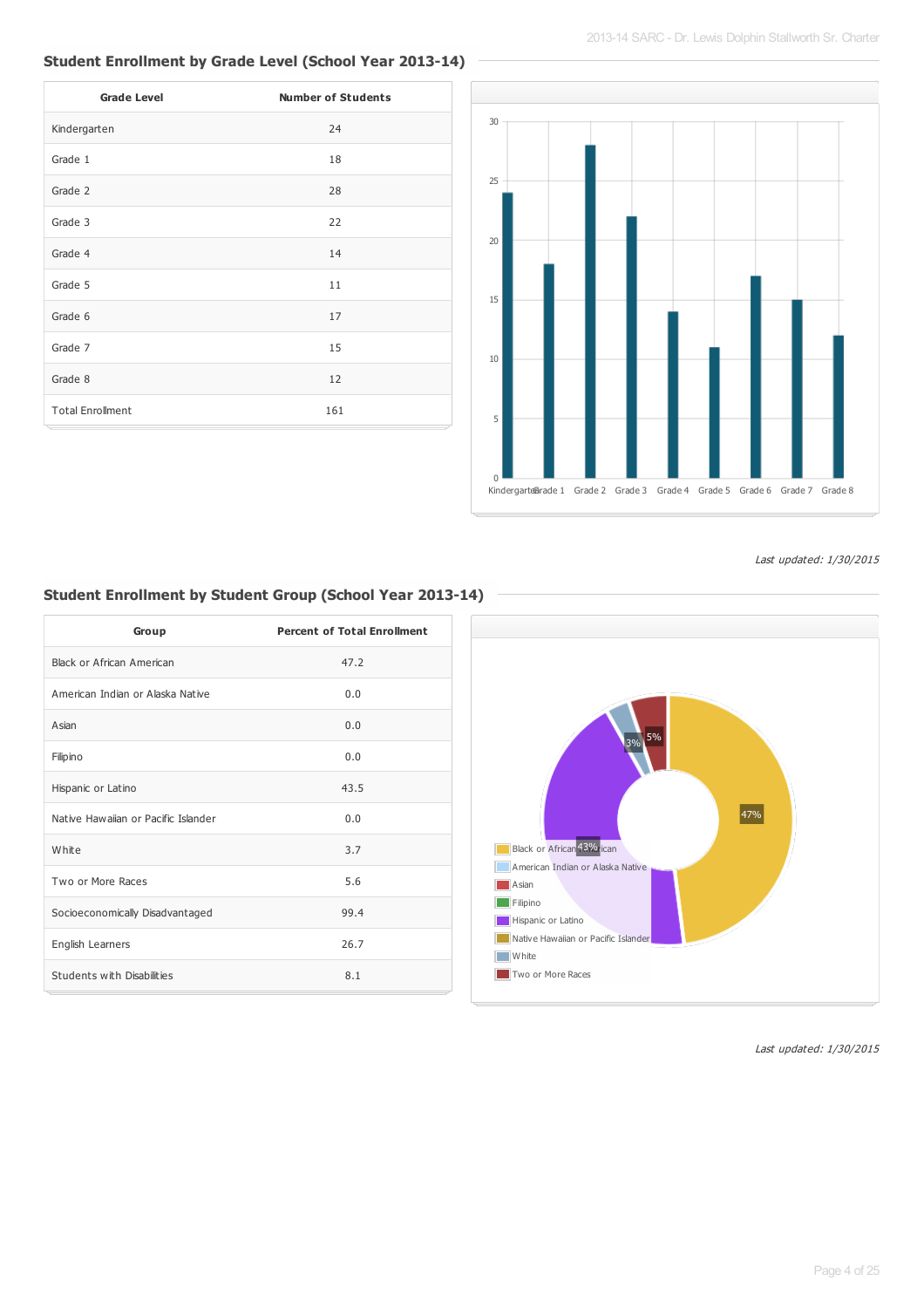# **Student Enrollment by Grade Level (School Year 2013-14)**

| <b>Grade Level</b>      | <b>Number of Students</b> |
|-------------------------|---------------------------|
| Kindergarten            | 24                        |
| Grade 1                 | 18                        |
| Grade 2                 | 28                        |
| Grade 3                 | 22                        |
| Grade 4                 | 14                        |
| Grade 5                 | 11                        |
| Grade 6                 | 17                        |
| Grade 7                 | 15                        |
| Grade 8                 | 12                        |
| <b>Total Enrollment</b> | 161                       |



Last updated: 1/30/2015

## **Student Enrollment by Student Group (School Year 2013-14)**

| Group                               | <b>Percent of Total Enrollment</b> |
|-------------------------------------|------------------------------------|
| Black or African American           | 47.2                               |
| American Indian or Alaska Native    | 0.0                                |
| Asian                               | 0.0                                |
| Filipino                            | 0.0                                |
| Hispanic or Latino                  | 43.5                               |
| Native Hawaijan or Pacific Islander | 0.0                                |
| White                               | 3.7                                |
| Two or More Races                   | 5.6                                |
| Socioeconomically Disadvantaged     | 99.4                               |
| English Learners                    | 26.7                               |
| Students with Disabilities          | 8.1                                |

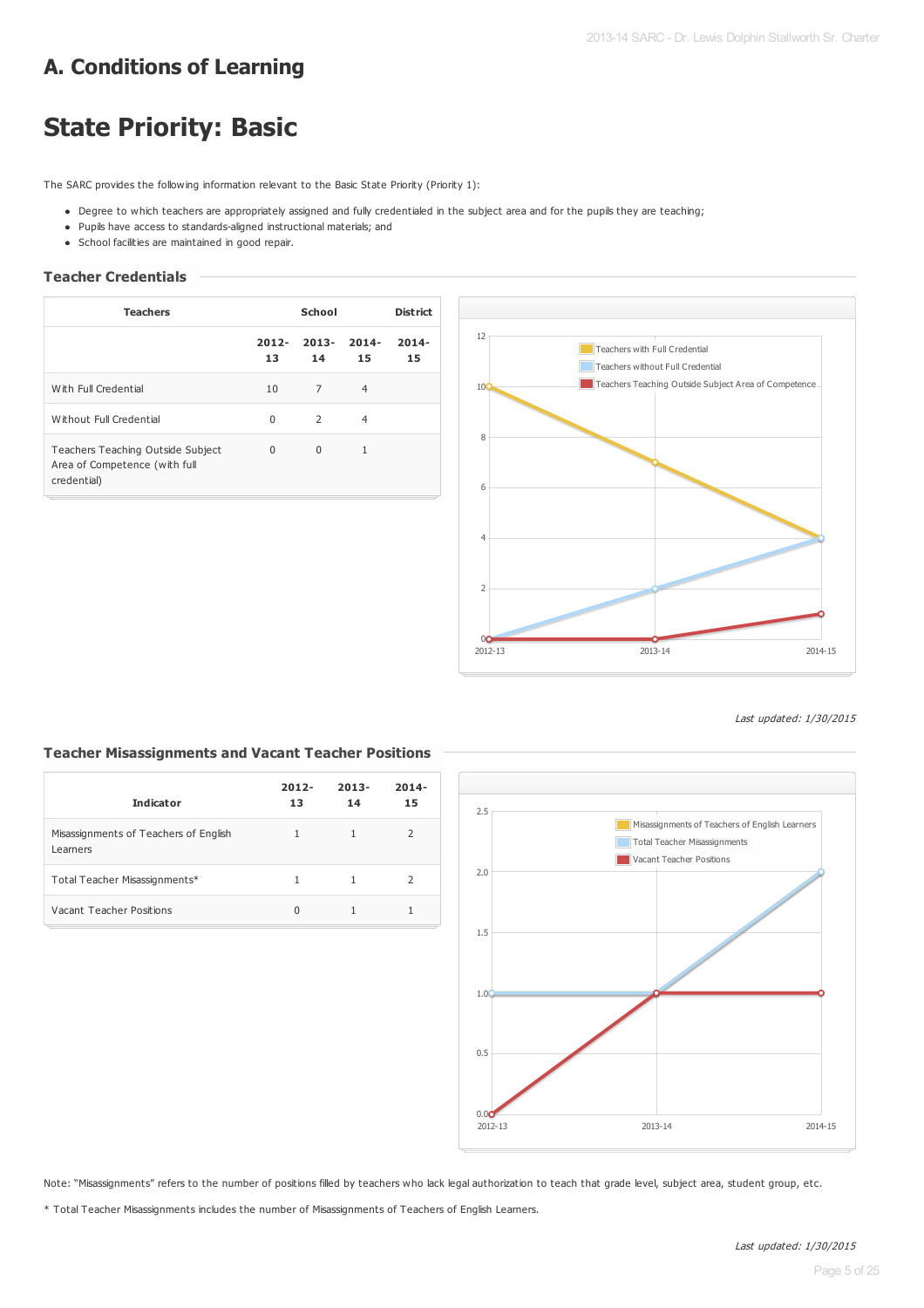# **A. Conditions of Learning**

# **State Priority: Basic**

The SARC provides the following information relevant to the Basic State Priority (Priority 1):

- Degree to which teachers are appropriately assigned and fully credentialed in the subject area and for the pupils they are teaching;
- Pupils have access to standards-aligned instructional materials; and
- School facilities are maintained in good repair.

### **Teacher Credentials**

| <b>Teachers</b>                                                                   | School         |                |                | <b>District</b> |
|-----------------------------------------------------------------------------------|----------------|----------------|----------------|-----------------|
|                                                                                   | $2012 -$<br>13 | $2013 -$<br>14 | $2014 -$<br>15 | $2014 -$<br>15  |
| With Full Credential                                                              | 10             | 7              | $\overline{4}$ |                 |
| Without Full Credential                                                           | $\Omega$       | $\mathcal{P}$  | $\overline{4}$ |                 |
| Teachers Teaching Outside Subject<br>Area of Competence (with full<br>credential) | 0              | $\Omega$       | 1              |                 |



### Last updated: 1/30/2015

#### **Indicator 2012- 13 2013- 14 2014- 15** Misassignments of Teachers of English Learners 1 1 2 Total Teacher Misassignments\* 1 1 1 2 Vacant Teacher Positions 0 1 1 1 1

**Teacher Misassignments and Vacant Teacher Positions**



Note: "Misassignments" refers to the number of positions filled by teachers who lack legal authorization to teach that grade level, subject area, student group, etc.

\* Total Teacher Misassignments includes the number of Misassignments of Teachers of English Learners.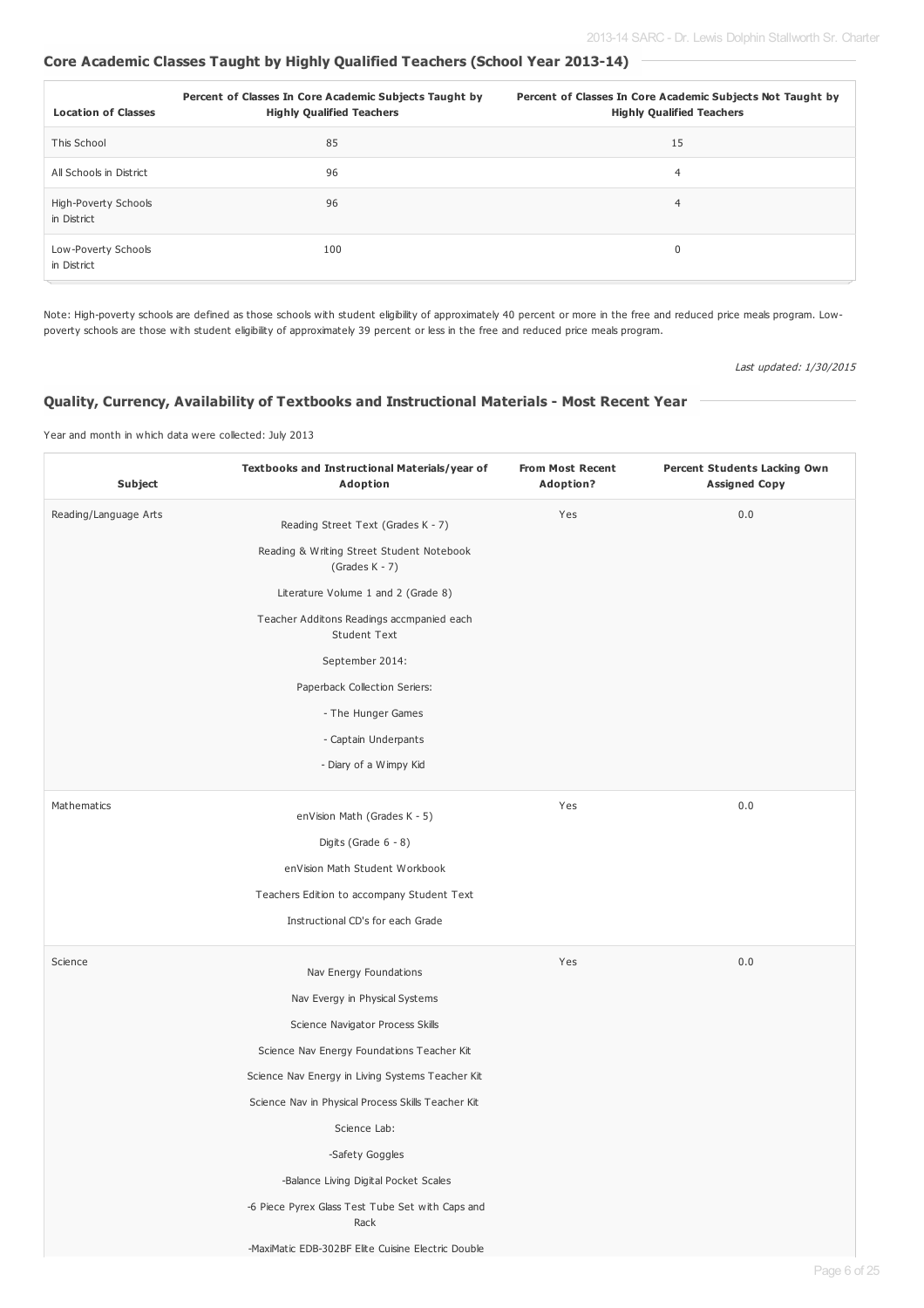# **Core Academic Classes Taught by Highly Qualified Teachers (School Year 2013-14)**

| <b>Location of Classes</b>          | Percent of Classes In Core Academic Subjects Taught by<br><b>Highly Qualified Teachers</b> | Percent of Classes In Core Academic Subjects Not Taught by<br><b>Highly Qualified Teachers</b> |
|-------------------------------------|--------------------------------------------------------------------------------------------|------------------------------------------------------------------------------------------------|
| This School                         | 85                                                                                         | 15                                                                                             |
| All Schools in District             | 96                                                                                         | 4                                                                                              |
| High-Poverty Schools<br>in District | 96                                                                                         | $\overline{4}$                                                                                 |
| Low-Poverty Schools<br>in District  | 100                                                                                        | 0                                                                                              |

Note: High-poverty schools are defined as those schools with student eligibility of approximately 40 percent or more in the free and reduced price meals program. Lowpoverty schools are those with student eligibility of approximately 39 percent or less in the free and reduced price meals program.

Last updated: 1/30/2015

## **Quality, Currency, Availability of Textbooks and Instructional Materials - Most Recent Year**

### Year and month in which data were collected: July 2013

| <b>Subject</b>        | Textbooks and Instructional Materials/year of<br>Adoption        | <b>From Most Recent</b><br><b>Adoption?</b> | <b>Percent Students Lacking Own</b><br><b>Assigned Copy</b> |
|-----------------------|------------------------------------------------------------------|---------------------------------------------|-------------------------------------------------------------|
| Reading/Language Arts | Reading Street Text (Grades K - 7)                               | Yes                                         | 0.0                                                         |
|                       | Reading & Writing Street Student Notebook<br>(Grades $K - 7$ )   |                                             |                                                             |
|                       | Literature Volume 1 and 2 (Grade 8)                              |                                             |                                                             |
|                       | Teacher Additons Readings accmpanied each<br><b>Student Text</b> |                                             |                                                             |
|                       | September 2014:                                                  |                                             |                                                             |
|                       | Paperback Collection Seriers:                                    |                                             |                                                             |
|                       | - The Hunger Games                                               |                                             |                                                             |
|                       | - Captain Underpants                                             |                                             |                                                             |
|                       | - Diary of a Wimpy Kid                                           |                                             |                                                             |
| Mathematics           | enVision Math (Grades K - 5)                                     | Yes                                         | 0.0                                                         |
|                       | Digits (Grade 6 - 8)                                             |                                             |                                                             |
|                       | enVision Math Student Workbook                                   |                                             |                                                             |
|                       | Teachers Edition to accompany Student Text                       |                                             |                                                             |
|                       | Instructional CD's for each Grade                                |                                             |                                                             |
| Science               | Nav Energy Foundations                                           | Yes                                         | 0.0                                                         |
|                       | Nav Evergy in Physical Systems                                   |                                             |                                                             |
|                       | Science Navigator Process Skills                                 |                                             |                                                             |
|                       | Science Nav Energy Foundations Teacher Kit                       |                                             |                                                             |
|                       | Science Nav Energy in Living Systems Teacher Kit                 |                                             |                                                             |
|                       | Science Nav in Physical Process Skills Teacher Kit               |                                             |                                                             |
|                       | Science Lab:                                                     |                                             |                                                             |
|                       | -Safety Goggles                                                  |                                             |                                                             |
|                       | -Balance Living Digital Pocket Scales                            |                                             |                                                             |
|                       | -6 Piece Pyrex Glass Test Tube Set with Caps and<br>Rack         |                                             |                                                             |
|                       | -MaxiMatic EDB-302BF Elite Cuisine Electric Double               |                                             |                                                             |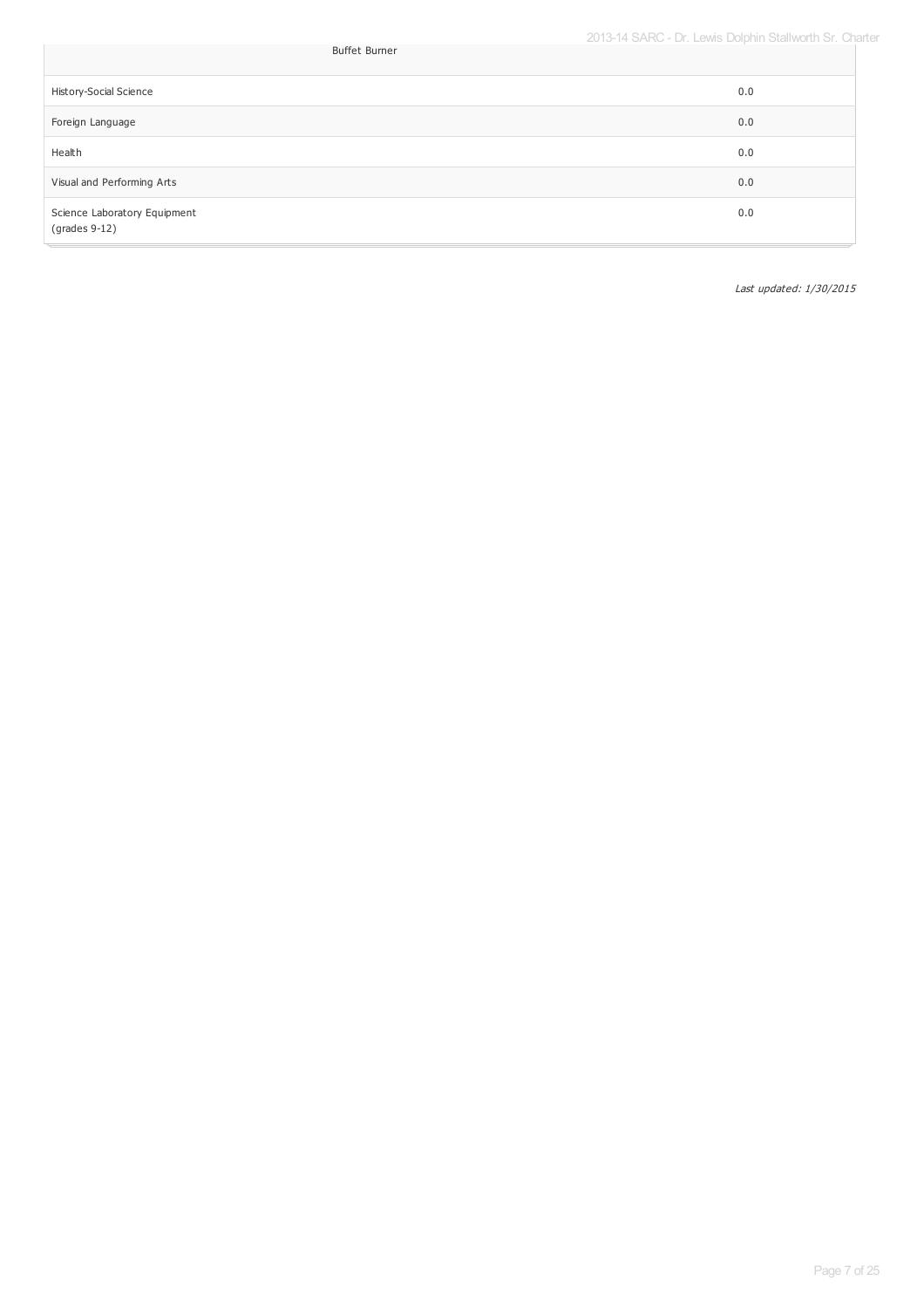| <b>Buffet Burner</b>                                   | LOTO TT OF WIND LOWS DOID MIT ORGHWORT ON OF |
|--------------------------------------------------------|----------------------------------------------|
| History-Social Science                                 | 0.0                                          |
| Foreign Language                                       | 0.0                                          |
| Health                                                 | 0.0                                          |
| Visual and Performing Arts                             | 0.0                                          |
| Science Laboratory Equipment<br>$\text{(grades 9-12)}$ | 0.0                                          |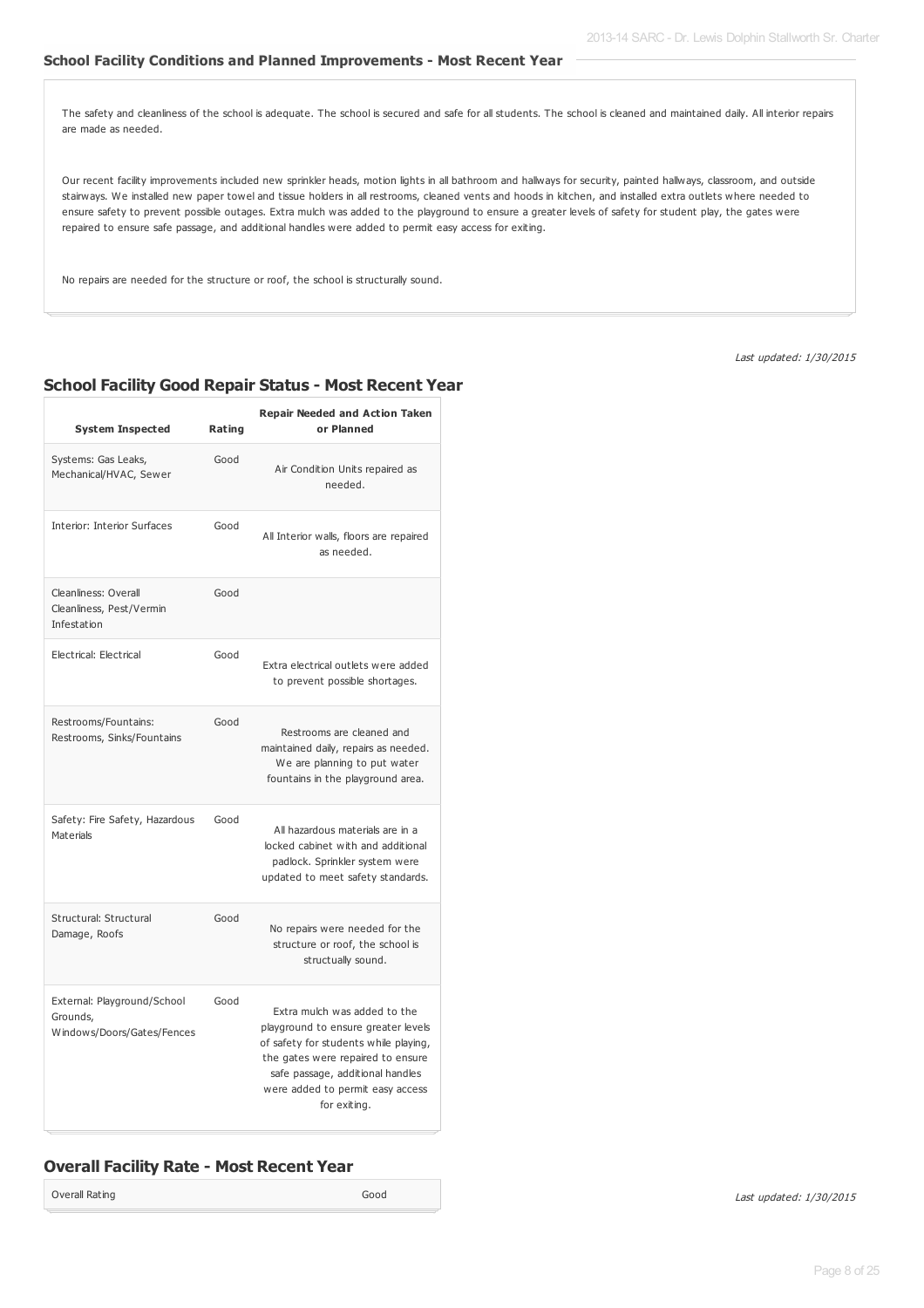### **School Facility Conditions and Planned Improvements - Most Recent Year**

The safety and cleanliness of the school is adequate. The school is secured and safe for all students. The school is cleaned and maintained daily. All interior repairs are made as needed.

Our recent facility improvements included new sprinkler heads, motion lights in all bathroom and hallways for security, painted hallways, classroom, and outside stairways. We installed new paper towel and tissue holders in all restrooms, cleaned vents and hoods in kitchen, and installed extra outlets where needed to ensure safety to prevent possible outages. Extra mulch was added to the playground to ensure a greater levels of safety for student play, the gates were repaired to ensure safe passage, and additional handles were added to permit easy access for exiting.

No repairs are needed for the structure or roof, the school is structurally sound.

Last updated: 1/30/2015

## **School Facility Good Repair Status - Most Recent Year**

| <b>System Inspected</b>                                               | Rating | <b>Repair Needed and Action Taken</b><br>or Planned                                                                                                                                                                                       |
|-----------------------------------------------------------------------|--------|-------------------------------------------------------------------------------------------------------------------------------------------------------------------------------------------------------------------------------------------|
| Systems: Gas Leaks,<br>Mechanical/HVAC, Sewer                         | Good   | Air Condition Units repaired as<br>needed.                                                                                                                                                                                                |
| Interior: Interior Surfaces                                           | Good   | All Interior walls, floors are repaired<br>as needed.                                                                                                                                                                                     |
| Cleanliness: Overall<br>Cleanliness, Pest/Vermin<br>Infestation       | Good   |                                                                                                                                                                                                                                           |
| Electrical: Electrical                                                | Good   | Extra electrical outlets were added<br>to prevent possible shortages.                                                                                                                                                                     |
| Restrooms/Fountains:<br>Restrooms, Sinks/Fountains                    | Good   | Restrooms are cleaned and<br>maintained daily, repairs as needed.<br>We are planning to put water<br>fountains in the playground area.                                                                                                    |
| Safety: Fire Safety, Hazardous<br><b>Materials</b>                    | Good   | All hazardous materials are in a<br>locked cabinet with and additional<br>padlock. Sprinkler system were<br>updated to meet safety standards.                                                                                             |
| Structural: Structural<br>Damage, Roofs                               | Good   | No repairs were needed for the<br>structure or roof, the school is<br>structually sound.                                                                                                                                                  |
| External: Playground/School<br>Grounds,<br>Windows/Doors/Gates/Fences | Good   | Extra mulch was added to the<br>playground to ensure greater levels<br>of safety for students while playing,<br>the gates were repaired to ensure<br>safe passage, additional handles<br>were added to permit easy access<br>for exiting. |

# **Overall Facility Rate - Most Recent Year**

Overall Rating Good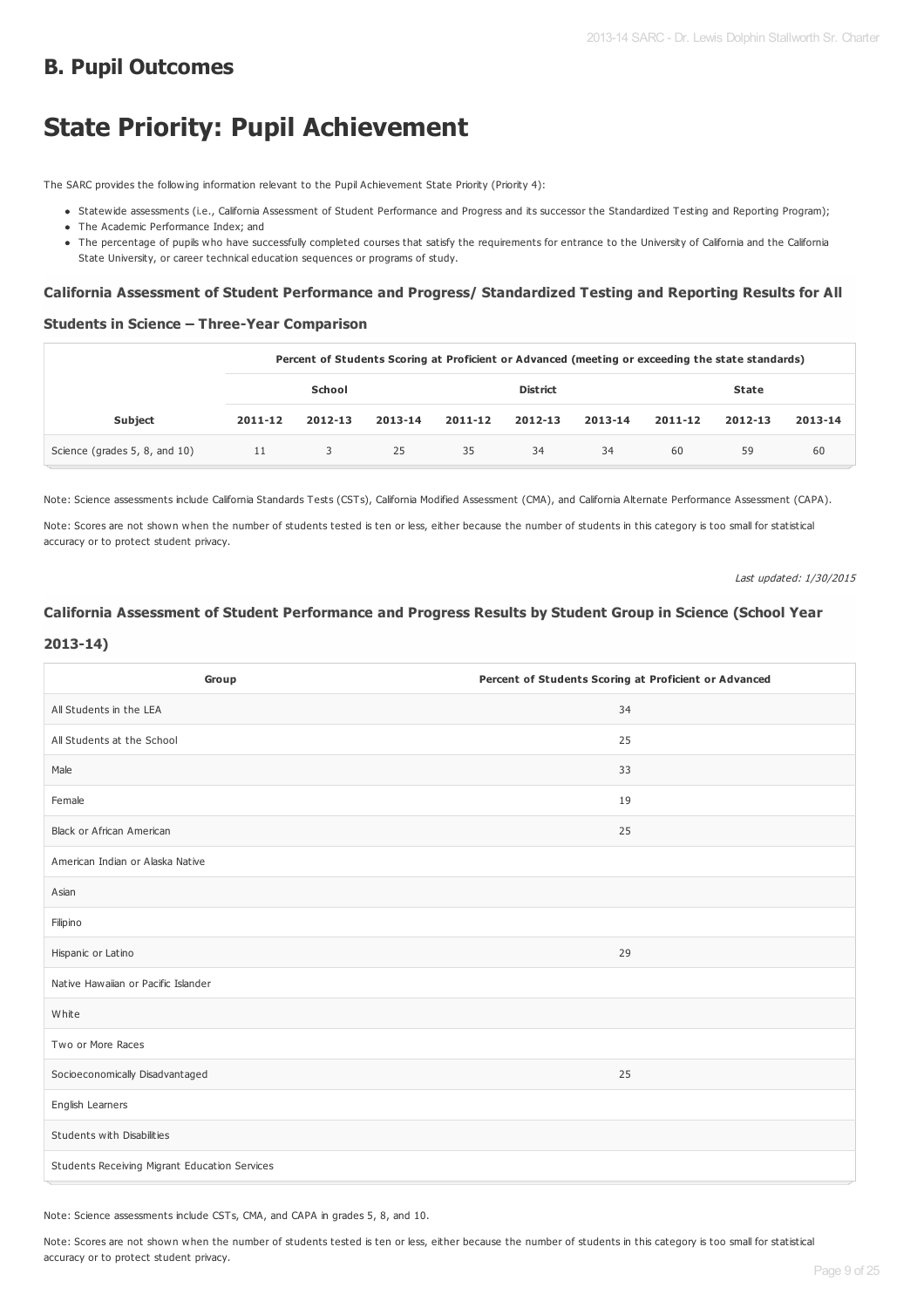# **B. Pupil Outcomes**

# **State Priority: Pupil Achievement**

The SARC provides the following information relevant to the Pupil Achievement State Priority (Priority 4):

- Statewide assessments (i.e., California Assessment of Student Performance and Progress and its successor the Standardized Testing and Reporting Program); • The Academic Performance Index; and
- 
- The percentage of pupils who have successfully completed courses that satisfy the requirements for entrance to the University of California and the California State University, or career technical education sequences or programs of study.

### **California Assessment of Student Performance and Progress/ Standardized Testing and Reporting Results for All**

### **Students in Science – Three-Year Comparison**

|                               | Percent of Students Scoring at Proficient or Advanced (meeting or exceeding the state standards) |         |                 |         |         |         |         |         |         |
|-------------------------------|--------------------------------------------------------------------------------------------------|---------|-----------------|---------|---------|---------|---------|---------|---------|
|                               | School                                                                                           |         | <b>District</b> |         |         | State   |         |         |         |
| <b>Subject</b>                | 2011-12                                                                                          | 2012-13 | 2013-14         | 2011-12 | 2012-13 | 2013-14 | 2011-12 | 2012-13 | 2013-14 |
| Science (grades 5, 8, and 10) | - 11                                                                                             | 3       | 25              | 35      | -34     | 34      | 60      | 59      | 60      |

Note: Science assessments include California Standards Tests (CSTs), California Modified Assessment (CMA), and California Alternate Performance Assessment (CAPA).

Note: Scores are not shown when the number of students tested is ten or less, either because the number of students in this category is too small for statistical accuracy or to protect student privacy.

Last updated: 1/30/2015

# **California Assessment of Student Performance and Progress Results by Student Group in Science (School Year**

### **2013-14)**

| Group                                         | Percent of Students Scoring at Proficient or Advanced |
|-----------------------------------------------|-------------------------------------------------------|
| All Students in the LEA                       | 34                                                    |
| All Students at the School                    | 25                                                    |
| Male                                          | 33                                                    |
| Female                                        | 19                                                    |
| Black or African American                     | 25                                                    |
| American Indian or Alaska Native              |                                                       |
| Asian                                         |                                                       |
| Filipino                                      |                                                       |
| Hispanic or Latino                            | 29                                                    |
| Native Hawaiian or Pacific Islander           |                                                       |
| White                                         |                                                       |
| Two or More Races                             |                                                       |
| Socioeconomically Disadvantaged               | 25                                                    |
| English Learners                              |                                                       |
| Students with Disabilities                    |                                                       |
| Students Receiving Migrant Education Services |                                                       |

Note: Science assessments include CSTs, CMA, and CAPA in grades 5, 8, and 10.

Note: Scores are not shown when the number of students tested is ten or less, either because the number of students in this category is too small for statistical accuracy or to protect student privacy.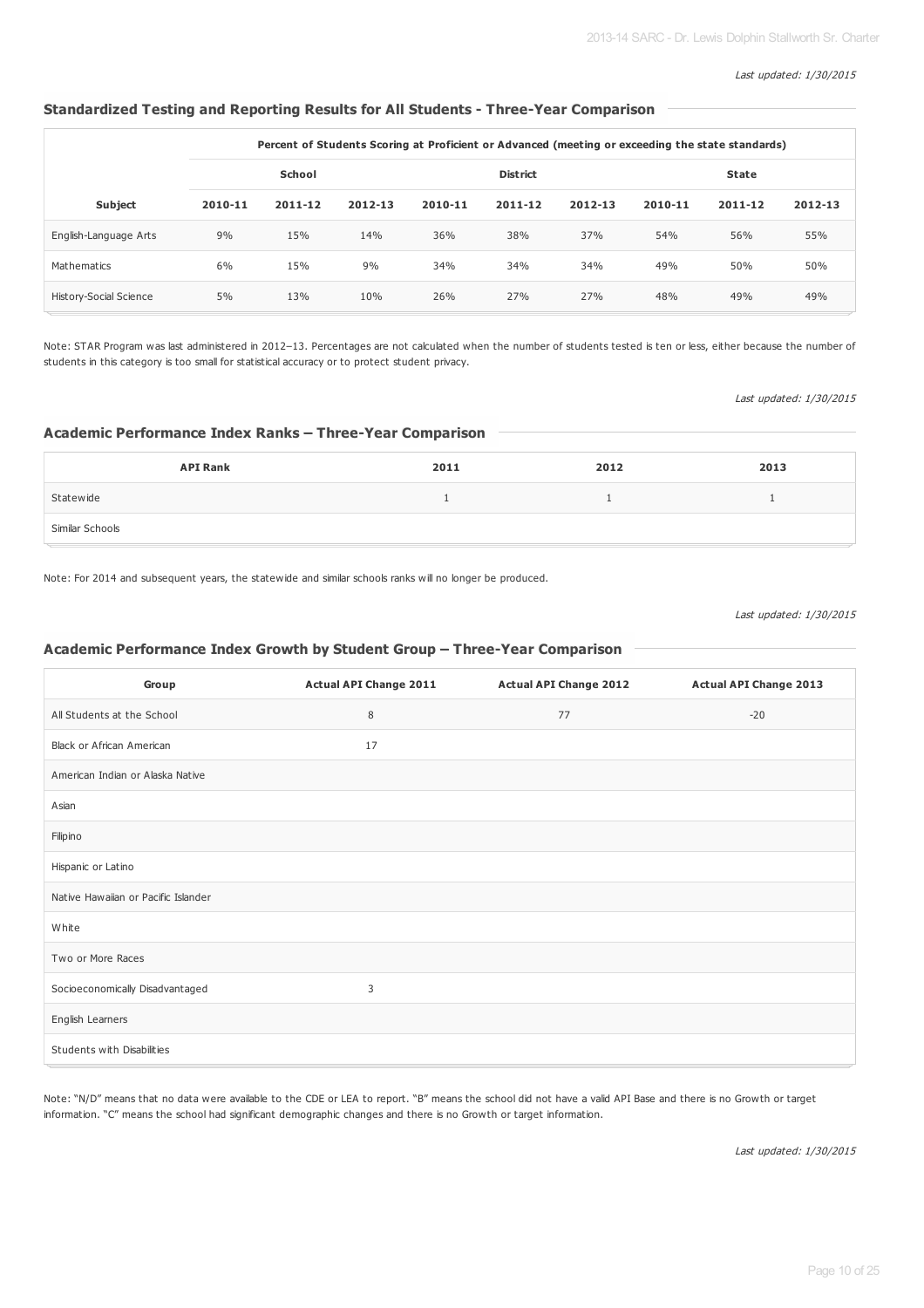### Last updated: 1/30/2015

### **Standardized Testing and Reporting Results for All Students - Three-Year Comparison**

|                               | Percent of Students Scoring at Proficient or Advanced (meeting or exceeding the state standards) |             |         |         |                 |         |         |              |         |
|-------------------------------|--------------------------------------------------------------------------------------------------|-------------|---------|---------|-----------------|---------|---------|--------------|---------|
|                               |                                                                                                  | School      |         |         | <b>District</b> |         |         | <b>State</b> |         |
| <b>Subject</b>                | 2010-11                                                                                          | $2011 - 12$ | 2012-13 | 2010-11 | $2011 - 12$     | 2012-13 | 2010-11 | 2011-12      | 2012-13 |
| English-Language Arts         | 9%                                                                                               | 15%         | 14%     | 36%     | 38%             | 37%     | 54%     | 56%          | 55%     |
| Mathematics                   | 6%                                                                                               | 15%         | 9%      | 34%     | 34%             | 34%     | 49%     | 50%          | 50%     |
| <b>History-Social Science</b> | 5%                                                                                               | 13%         | 10%     | 26%     | 27%             | 27%     | 48%     | 49%          | 49%     |

Note: STAR Program was last administered in 2012–13. Percentages are not calculated when the number of students tested is ten or less, either because the number of students in this category is too small for statistical accuracy or to protect student privacy.

### Last updated: 1/30/2015

## **Academic Performance Index Ranks – Three-Year Comparison**

| <b>API Rank</b> | 2011 | 2012 | 2013 |
|-----------------|------|------|------|
| Statewide       |      |      |      |
| Similar Schools |      |      |      |

Note: For 2014 and subsequent years, the statewide and similar schools ranks will no longer be produced.

Last updated: 1/30/2015

### **Academic Performance Index Growth by Student Group – Three-Year Comparison**

| Group                               | <b>Actual API Change 2011</b> | <b>Actual API Change 2012</b> | <b>Actual API Change 2013</b> |
|-------------------------------------|-------------------------------|-------------------------------|-------------------------------|
| All Students at the School          | 8                             | 77                            | $-20$                         |
| <b>Black or African American</b>    | 17                            |                               |                               |
| American Indian or Alaska Native    |                               |                               |                               |
| Asian                               |                               |                               |                               |
| Filipino                            |                               |                               |                               |
| Hispanic or Latino                  |                               |                               |                               |
| Native Hawaiian or Pacific Islander |                               |                               |                               |
| White                               |                               |                               |                               |
| Two or More Races                   |                               |                               |                               |
| Socioeconomically Disadvantaged     | 3                             |                               |                               |
| English Learners                    |                               |                               |                               |
| Students with Disabilities          |                               |                               |                               |

Note: "N/D" means that no data were available to the CDE or LEA to report. "B" means the school did not have a valid API Base and there is no Growth or target information. "C" means the school had significant demographic changes and there is no Growth or target information.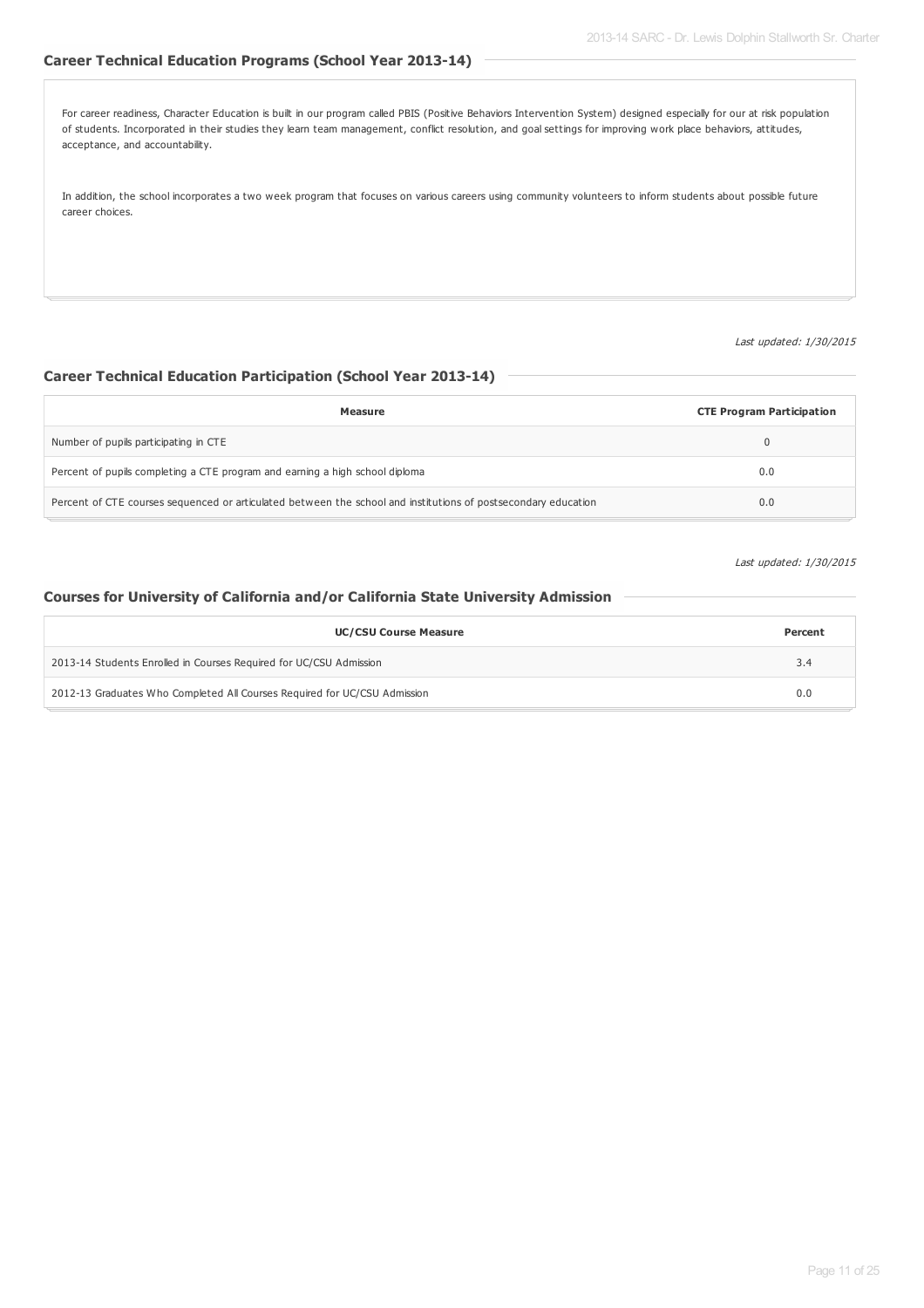# **Career Technical Education Programs (School Year 2013-14)**

For career readiness, Character Education is built in our program called PBIS (Positive Behaviors Intervention System) designed especially for our at risk population of students. Incorporated in their studies they learn team management, conflict resolution, and goal settings for improving work place behaviors, attitudes, acceptance, and accountability.

In addition, the school incorporates a two week program that focuses on various careers using community volunteers to inform students about possible future career choices.

### Last updated: 1/30/2015

### **Career Technical Education Participation (School Year 2013-14)**

| <b>Measure</b>                                                                                                 | <b>CTE Program Participation</b> |
|----------------------------------------------------------------------------------------------------------------|----------------------------------|
| Number of pupils participating in CTE                                                                          |                                  |
| Percent of pupils completing a CTE program and earning a high school diploma                                   | 0.0                              |
| Percent of CTE courses sequenced or articulated between the school and institutions of postsecondary education | 0.0                              |

### Last updated: 1/30/2015

### **Courses for University of California and/or California State University Admission**

| <b>UC/CSU Course Measure</b>                                              | Percent |
|---------------------------------------------------------------------------|---------|
| 2013-14 Students Enrolled in Courses Required for UC/CSU Admission        | 3.4     |
| 2012-13 Graduates Who Completed All Courses Required for UC/CSU Admission | 0.0     |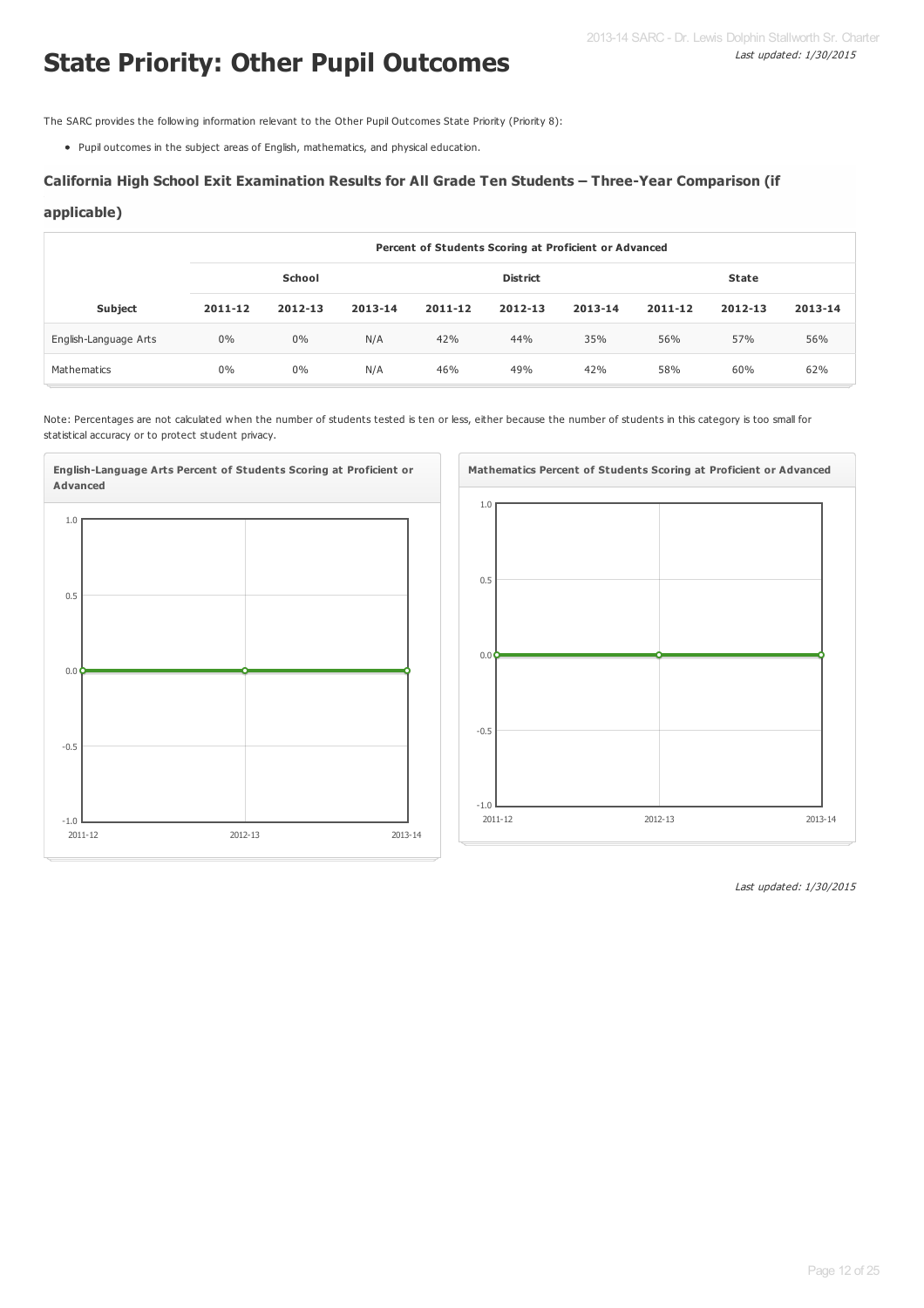# **State Priority: Other Pupil Outcomes**

The SARC provides the following information relevant to the Other Pupil Outcomes State Priority (Priority 8):

Pupil outcomes in the subject areas of English, mathematics, and physical education.

### **California High School Exit Examination Results for All Grade Ten Students – Three-Year Comparison (if**

### **applicable)**

|                       | Percent of Students Scoring at Proficient or Advanced |         |         |         |                 |         |             |         |         |  |
|-----------------------|-------------------------------------------------------|---------|---------|---------|-----------------|---------|-------------|---------|---------|--|
|                       | School                                                |         |         |         | <b>District</b> |         | State       |         |         |  |
| <b>Subject</b>        | 2011-12                                               | 2012-13 | 2013-14 | 2011-12 | $2012 - 13$     | 2013-14 | $2011 - 12$ | 2012-13 | 2013-14 |  |
| English-Language Arts | 0%                                                    | $0\%$   | N/A     | 42%     | 44%             | 35%     | 56%         | 57%     | 56%     |  |
| Mathematics           | 0%                                                    | $0\%$   | N/A     | 46%     | 49%             | 42%     | 58%         | 60%     | 62%     |  |

Note: Percentages are not calculated when the number of students tested is ten or less, either because the number of students in this category is too small for statistical accuracy or to protect student privacy.



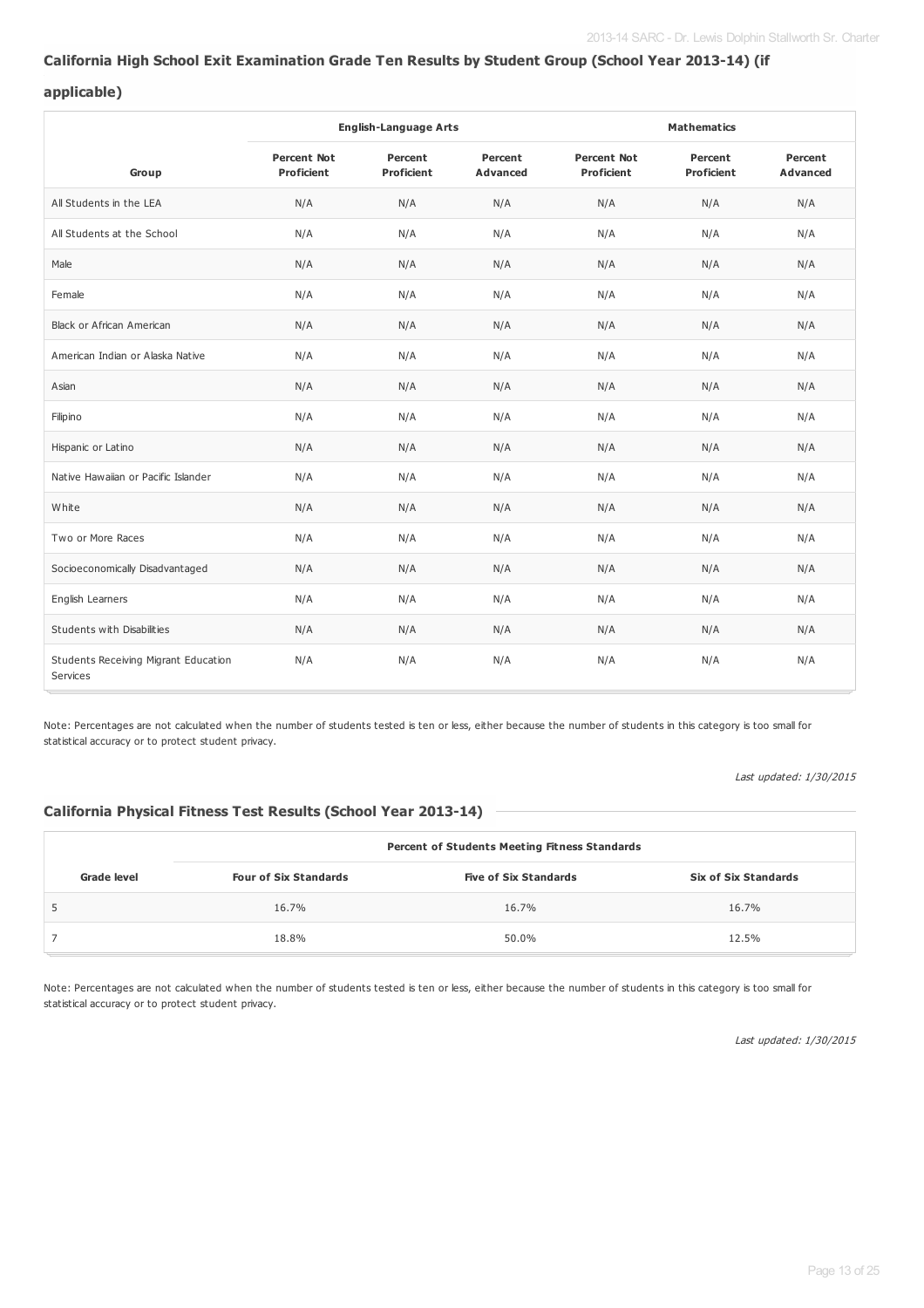### **California High School Exit Examination Grade Ten Results by Student Group (School Year 2013-14) (if**

### **applicable)**

|                                                  |                                         | <b>English-Language Arts</b> |                            | <b>Mathematics</b>                      |                              |                            |  |
|--------------------------------------------------|-----------------------------------------|------------------------------|----------------------------|-----------------------------------------|------------------------------|----------------------------|--|
| Group                                            | <b>Percent Not</b><br><b>Proficient</b> | Percent<br><b>Proficient</b> | Percent<br><b>Advanced</b> | <b>Percent Not</b><br><b>Proficient</b> | Percent<br><b>Proficient</b> | Percent<br><b>Advanced</b> |  |
| All Students in the LEA                          | N/A                                     | N/A                          | N/A                        | N/A                                     | N/A                          | N/A                        |  |
| All Students at the School                       | N/A                                     | N/A                          | N/A                        | N/A                                     | N/A                          | N/A                        |  |
| Male                                             | N/A                                     | N/A                          | N/A                        | N/A                                     | N/A                          | N/A                        |  |
| Female                                           | N/A                                     | N/A                          | N/A                        | N/A                                     | N/A                          | N/A                        |  |
| <b>Black or African American</b>                 | N/A                                     | N/A                          | N/A                        | N/A                                     | N/A                          | N/A                        |  |
| American Indian or Alaska Native                 | N/A                                     | N/A                          | N/A                        | N/A                                     | N/A                          | N/A                        |  |
| Asian                                            | N/A                                     | N/A                          | N/A                        | N/A                                     | N/A                          | N/A                        |  |
| Filipino                                         | N/A                                     | N/A                          | N/A                        | N/A                                     | N/A                          | N/A                        |  |
| Hispanic or Latino                               | N/A                                     | N/A                          | N/A                        | N/A                                     | N/A                          | N/A                        |  |
| Native Hawaiian or Pacific Islander              | N/A                                     | N/A                          | N/A                        | N/A                                     | N/A                          | N/A                        |  |
| White                                            | N/A                                     | N/A                          | N/A                        | N/A                                     | N/A                          | N/A                        |  |
| Two or More Races                                | N/A                                     | N/A                          | N/A                        | N/A                                     | N/A                          | N/A                        |  |
| Socioeconomically Disadvantaged                  | N/A                                     | N/A                          | N/A                        | N/A                                     | N/A                          | N/A                        |  |
| English Learners                                 | N/A                                     | N/A                          | N/A                        | N/A                                     | N/A                          | N/A                        |  |
| Students with Disabilities                       | N/A                                     | N/A                          | N/A                        | N/A                                     | N/A                          | N/A                        |  |
| Students Receiving Migrant Education<br>Services | N/A                                     | N/A                          | N/A                        | N/A                                     | N/A                          | N/A                        |  |

Note: Percentages are not calculated when the number of students tested is ten or less, either because the number of students in this category is too small for statistical accuracy or to protect student privacy.

Last updated: 1/30/2015

### **California Physical Fitness Test Results (School Year 2013-14)**

| <b>Percent of Students Meeting Fitness Standards</b> |                              |                              |                             |  |  |  |  |  |  |
|------------------------------------------------------|------------------------------|------------------------------|-----------------------------|--|--|--|--|--|--|
| Grade level                                          | <b>Four of Six Standards</b> | <b>Five of Six Standards</b> | <b>Six of Six Standards</b> |  |  |  |  |  |  |
|                                                      | 16.7%                        | 16.7%                        | 16.7%                       |  |  |  |  |  |  |
|                                                      | 18.8%                        | 50.0%                        | 12.5%                       |  |  |  |  |  |  |

Note: Percentages are not calculated when the number of students tested is ten or less, either because the number of students in this category is too small for statistical accuracy or to protect student privacy.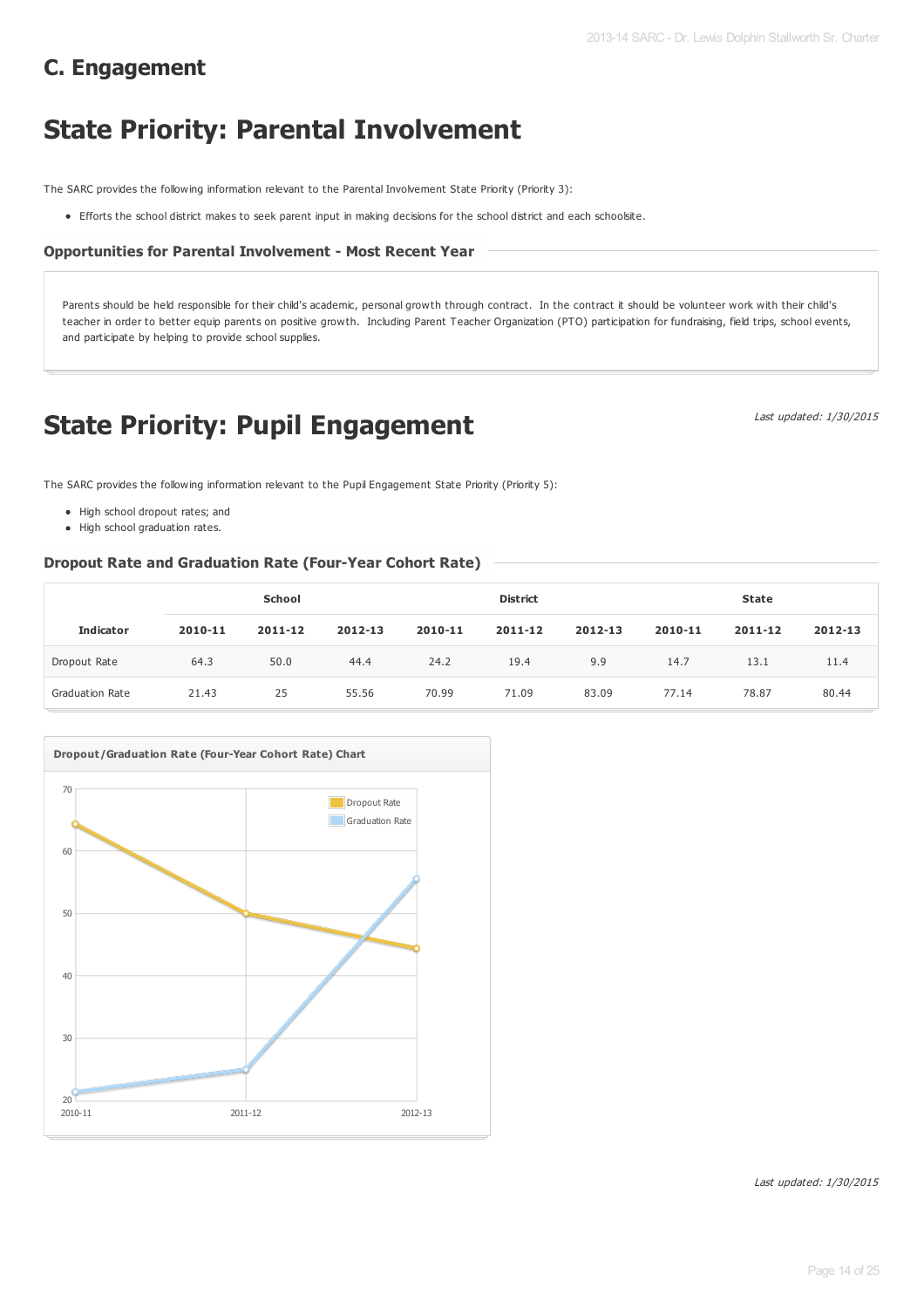# **C. Engagement**

# **State Priority: Parental Involvement**

The SARC provides the following information relevant to the Parental Involvement State Priority (Priority 3):

Efforts the school district makes to seek parent input in making decisions for the school district and each schoolsite.

### **Opportunities for Parental Involvement - Most Recent Year**

Parents should be held responsible for their child's academic, personal growth through contract. In the contract it should be volunteer work with their child's teacher in order to better equip parents on positive growth. Including Parent Teacher Organization (PTO) participation for fundraising, field trips, school events, and participate by helping to provide school supplies.

# **State Priority: Pupil Engagement**

Last updated: 1/30/2015

The SARC provides the following information relevant to the Pupil Engagement State Priority (Priority 5):

- High school dropout rates; and
- High school graduation rates.

### **Dropout Rate and Graduation Rate (Four-Year Cohort Rate)**

|                        | School  |         |         |         | <b>District</b> |         | <b>State</b> |         |         |
|------------------------|---------|---------|---------|---------|-----------------|---------|--------------|---------|---------|
| <b>Indicator</b>       | 2010-11 | 2011-12 | 2012-13 | 2010-11 | 2011-12         | 2012-13 | 2010-11      | 2011-12 | 2012-13 |
| Dropout Rate           | 64.3    | 50.0    | 44.4    | 24.2    | 19.4            | 9.9     | 14.7         | 13.1    | 11.4    |
| <b>Graduation Rate</b> | 21.43   | 25      | 55.56   | 70.99   | 71.09           | 83.09   | 77.14        | 78.87   | 80.44   |

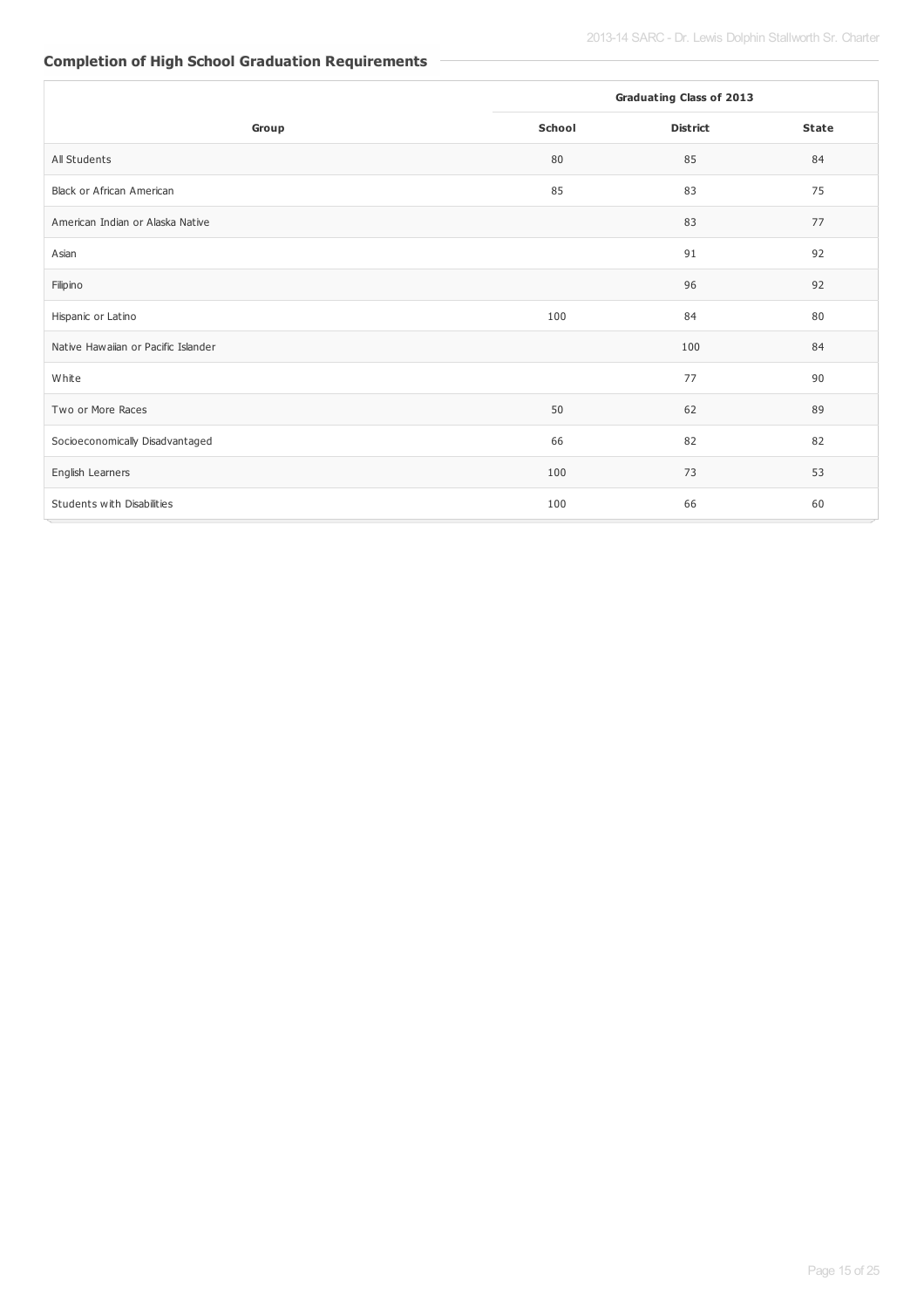# **Completion of High School Graduation Requirements**

|                                     |        | <b>Graduating Class of 2013</b> |              |
|-------------------------------------|--------|---------------------------------|--------------|
| Group                               | School | <b>District</b>                 | <b>State</b> |
| All Students                        | 80     | 85                              | 84           |
| Black or African American           | 85     | 83                              | 75           |
| American Indian or Alaska Native    |        | 83                              | 77           |
| Asian                               |        | 91                              | 92           |
| Filipino                            |        | 96                              | 92           |
| Hispanic or Latino                  | 100    | 84                              | 80           |
| Native Hawaiian or Pacific Islander |        | 100                             | 84           |
| White                               |        | 77                              | 90           |
| Two or More Races                   | 50     | 62                              | 89           |
| Socioeconomically Disadvantaged     | 66     | 82                              | 82           |
| English Learners                    | 100    | 73                              | 53           |
| Students with Disabilities          | 100    | 66                              | 60           |

L.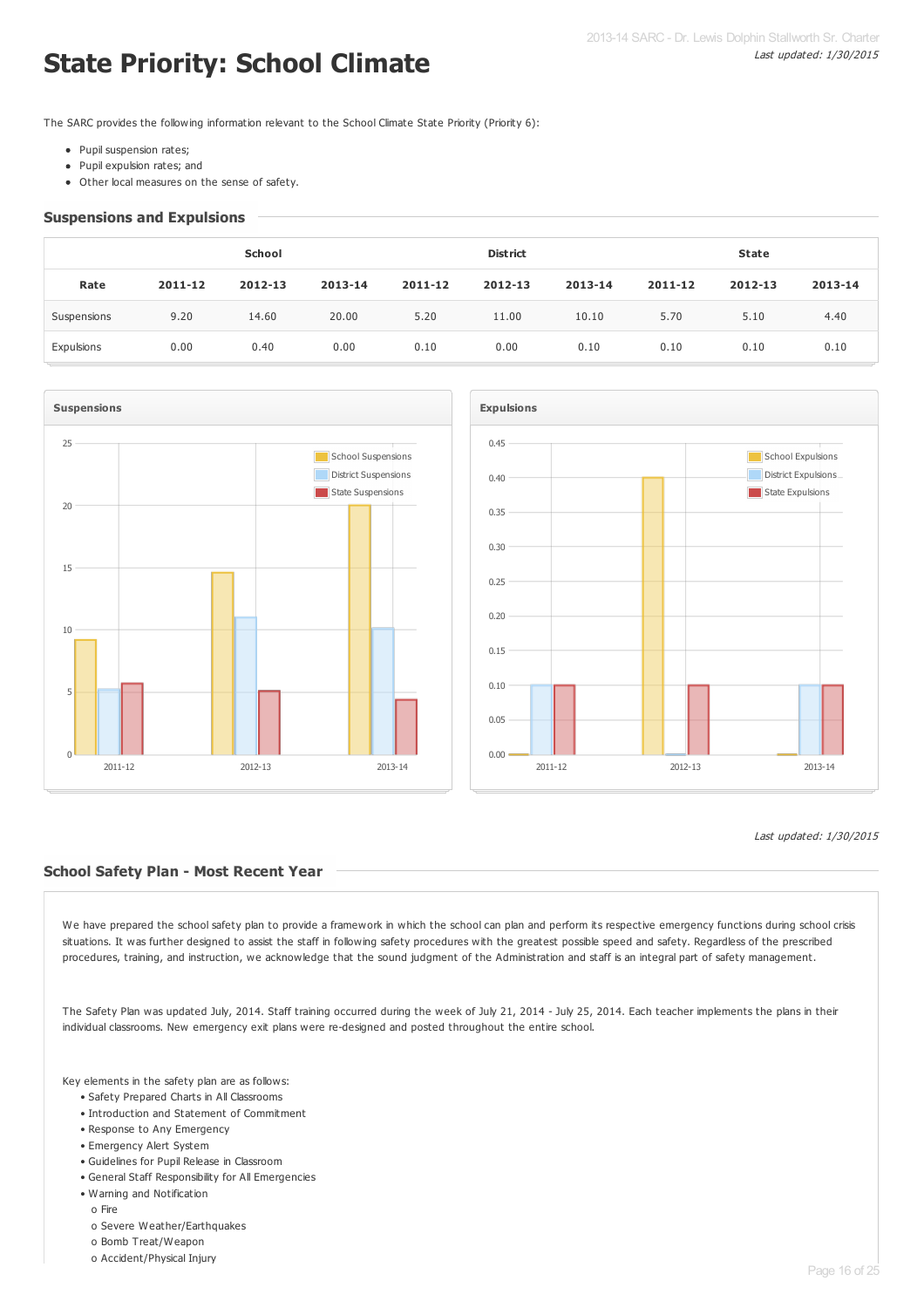# **State Priority: School Climate**

The SARC provides the following information relevant to the School Climate State Priority (Priority 6):

- Pupil suspension rates:
- Pupil expulsion rates; and
- Other local measures on the sense of safety.

### **Suspensions and Expulsions**

|             | School  |         |         |         | <b>District</b> |         | <b>State</b> |         |         |  |
|-------------|---------|---------|---------|---------|-----------------|---------|--------------|---------|---------|--|
| Rate        | 2011-12 | 2012-13 | 2013-14 | 2011-12 | 2012-13         | 2013-14 | 2011-12      | 2012-13 | 2013-14 |  |
| Suspensions | 9.20    | 14.60   | 20.00   | 5.20    | 11.00           | 10.10   | 5.70         | 5.10    | 4.40    |  |
| Expulsions  | 0.00    | 0.40    | 0.00    | 0.10    | 0.00            | 0.10    | 0.10         | 0.10    | 0.10    |  |





### Last updated: 1/30/2015

### **School Safety Plan - Most Recent Year**

We have prepared the school safety plan to provide a framework in which the school can plan and perform its respective emergency functions during school crisis situations. It was further designed to assist the staff in following safety procedures with the greatest possible speed and safety. Regardless of the prescribed procedures, training, and instruction, we acknowledge that the sound judgment of the Administration and staff is an integral part of safety management.

The Safety Plan was updated July, 2014. Staff training occurred during the week of July 21, 2014 - July 25, 2014. Each teacher implements the plans in their individual classrooms. New emergency exit plans were re-designed and posted throughout the entire school.

Key elements in the safety plan are as follows:

- Safety Prepared Charts in All Classrooms
- Introduction and Statement of Commitment
- Response to Any Emergency
- Emergency Alert System
- Guidelines for Pupil Release in Classroom
- General Staff Responsibility for All Emergencies
- Warning and Notification
	- o Fire
	- o Severe Weather/Earthquakes
	- o Bomb Treat/Weapon
	- o Accident/Physical Injury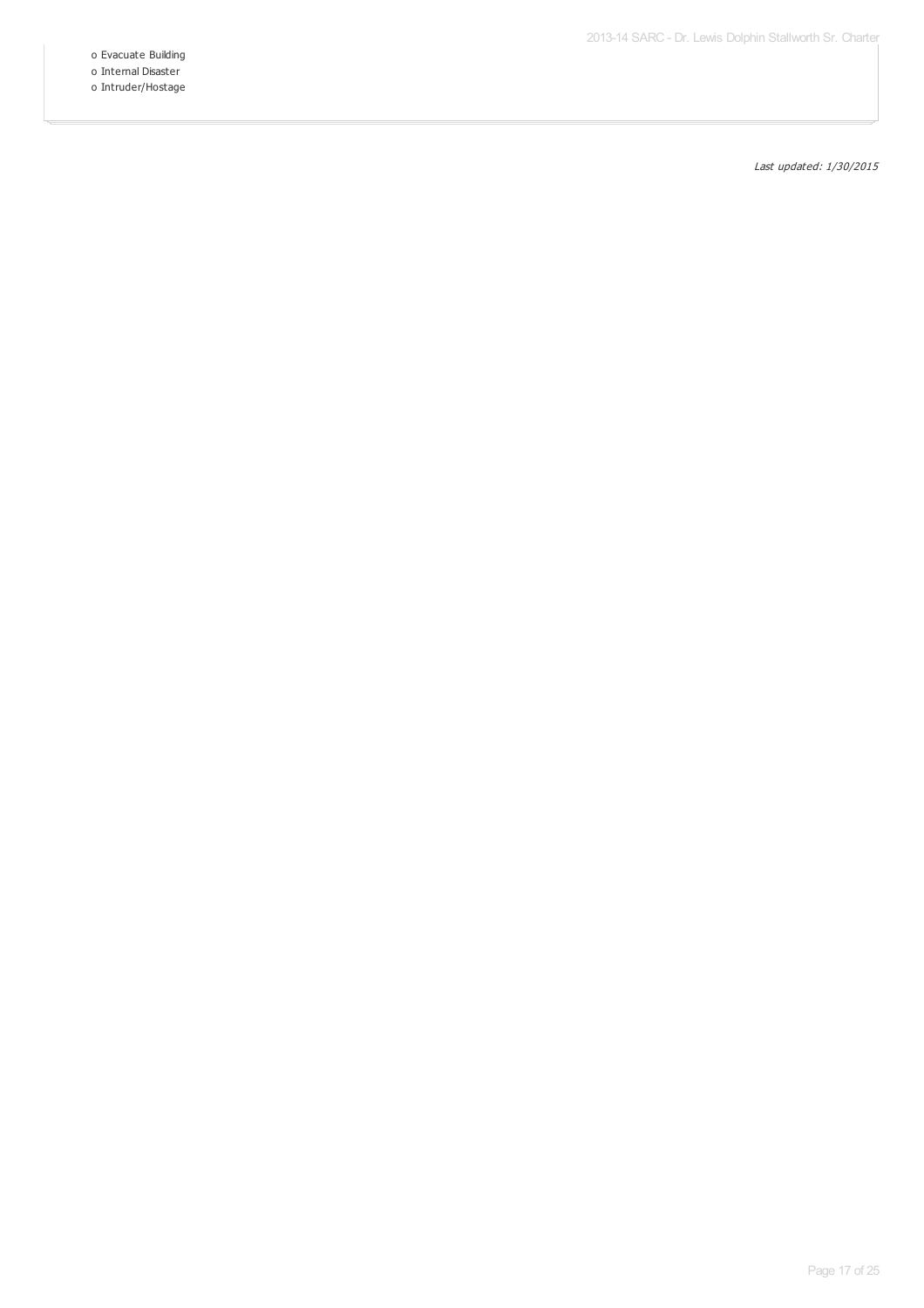o Evacuate Building

o Internal Disaster o Intruder/Hostage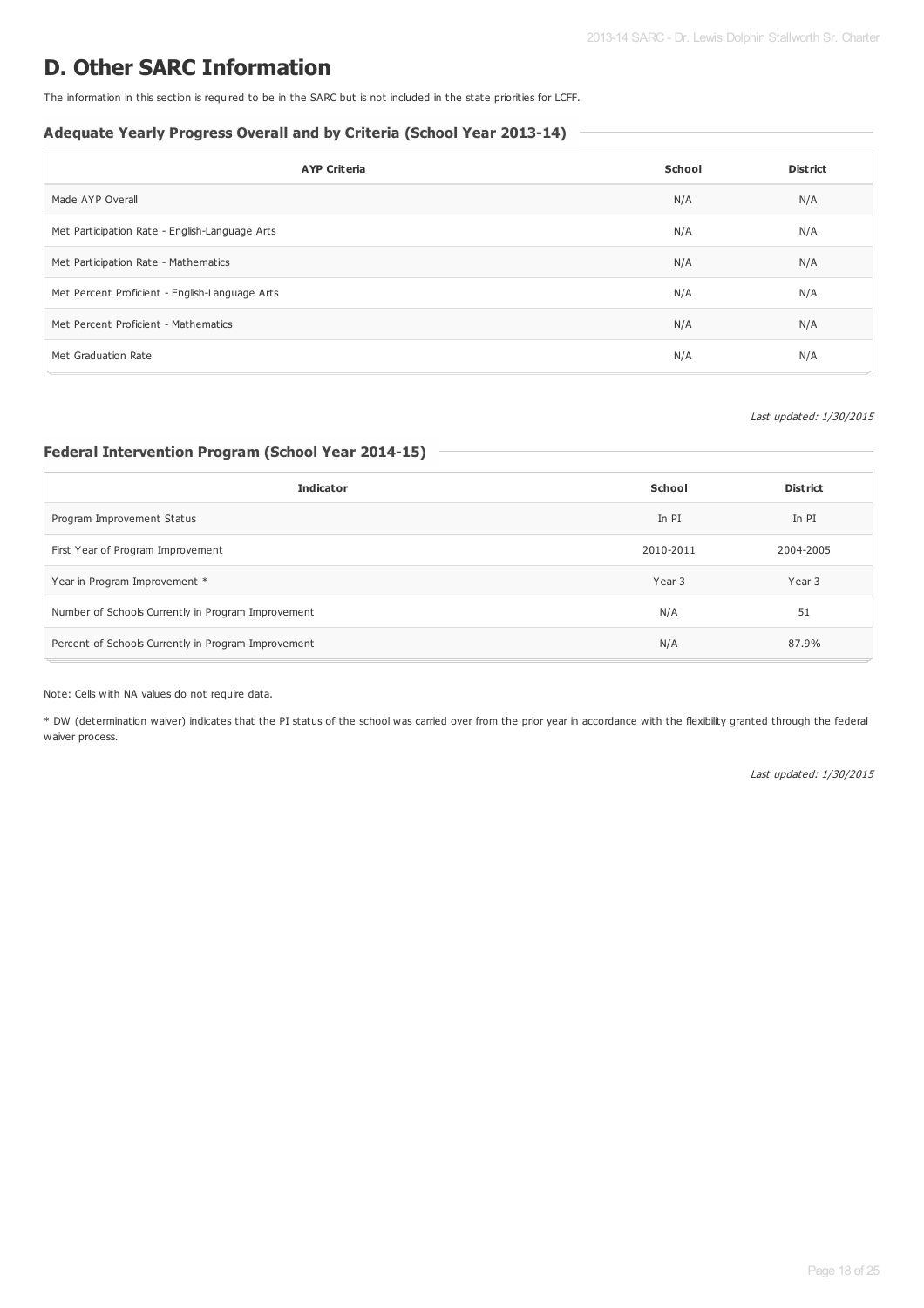# **D. Other SARC Information**

The information in this section is required to be in the SARC but is not included in the state priorities for LCFF.

### **Adequate Yearly Progress Overall and by Criteria (School Year 2013-14)**

| <b>AYP Criteria</b>                            | School | <b>District</b> |
|------------------------------------------------|--------|-----------------|
| Made AYP Overall                               | N/A    | N/A             |
| Met Participation Rate - English-Language Arts | N/A    | N/A             |
| Met Participation Rate - Mathematics           | N/A    | N/A             |
| Met Percent Proficient - English-Language Arts | N/A    | N/A             |
| Met Percent Proficient - Mathematics           | N/A    | N/A             |
| Met Graduation Rate                            | N/A    | N/A             |

### Last updated: 1/30/2015

# **Federal Intervention Program (School Year 2014-15)**

| <b>Indicator</b>                                    | School    | <b>District</b> |
|-----------------------------------------------------|-----------|-----------------|
| Program Improvement Status                          | In PI     | In PI           |
| First Year of Program Improvement                   | 2010-2011 | 2004-2005       |
| Year in Program Improvement *                       | Year 3    | Year 3          |
| Number of Schools Currently in Program Improvement  | N/A       | 51              |
| Percent of Schools Currently in Program Improvement | N/A       | 87.9%           |

### Note: Cells with NA values do not require data.

\* DW (determination waiver) indicates that the PI status of the school was carried over from the prior year in accordance with the flexibility granted through the federal waiver process.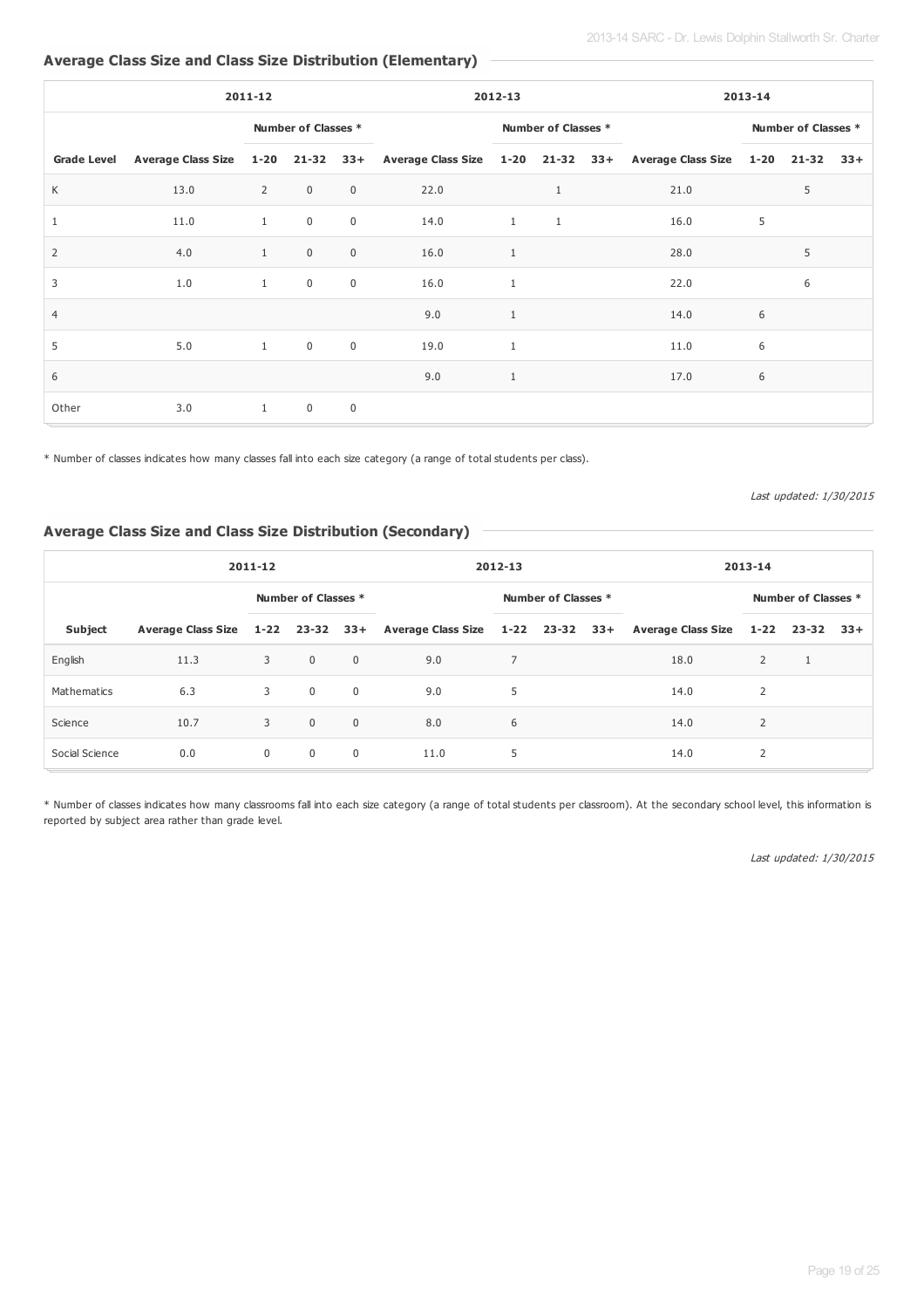# **Average Class Size and Class Size Distribution (Elementary)**

| 2011-12            |      |                |                     |                |      | 2012-13             |              |  |                                                                                             | 2013-14 |               |  |  |
|--------------------|------|----------------|---------------------|----------------|------|---------------------|--------------|--|---------------------------------------------------------------------------------------------|---------|---------------|--|--|
|                    |      |                | Number of Classes * |                |      | Number of Classes * |              |  | Number of Classes *                                                                         |         |               |  |  |
| <b>Grade Level</b> |      |                |                     |                |      |                     |              |  | Average Class Size 1-20 21-32 33+ Average Class Size 1-20 21-32 33+ Average Class Size 1-20 |         | $21-32$ $33+$ |  |  |
| K                  | 13.0 | $\overline{2}$ | $\overline{0}$      | $\overline{0}$ | 22.0 |                     | $\mathbf{1}$ |  | 21.0                                                                                        |         | 5             |  |  |
| 1                  | 11.0 | 1              | $\mathbf 0$         | $\overline{0}$ | 14.0 | $\mathbf{1}$        | $\mathbf{1}$ |  | 16.0                                                                                        | 5       |               |  |  |
| 2                  | 4.0  | 1              | $\mathsf 0$         | $\mathbf 0$    | 16.0 | $\mathbf{1}$        |              |  | 28.0                                                                                        |         | 5             |  |  |
| 3                  | 1.0  | $\mathbf{1}$   | $\mathbf 0$         | $\mathbf 0$    | 16.0 | $\mathbf{1}$        |              |  | 22.0                                                                                        |         | 6             |  |  |
| $\overline{4}$     |      |                |                     |                | 9.0  | $\mathbf{1}$        |              |  | 14.0                                                                                        | 6       |               |  |  |
| 5                  | 5.0  | 1              | $\overline{0}$      | $\mathbf 0$    | 19.0 | 1                   |              |  | 11.0                                                                                        | 6       |               |  |  |
| 6                  |      |                |                     |                | 9.0  | $\mathbf{1}$        |              |  | 17.0                                                                                        | 6       |               |  |  |
| Other              | 3.0  | $\mathbf{1}$   | $\mathbf 0$         | $\mathbf 0$    |      |                     |              |  |                                                                                             |         |               |  |  |

\* Number of classes indicates how many classes fall into each size category (a range of total students per class).

Last updated: 1/30/2015

### **Average Class Size and Class Size Distribution (Secondary)**

| 2011-12        |      |                |                     | 2012-13        |      |                     | 2013-14 |  |                                                                                                       |   |  |  |
|----------------|------|----------------|---------------------|----------------|------|---------------------|---------|--|-------------------------------------------------------------------------------------------------------|---|--|--|
|                |      |                | Number of Classes * |                |      | Number of Classes * |         |  | Number of Classes *                                                                                   |   |  |  |
| <b>Subject</b> |      |                |                     |                |      |                     |         |  | Average Class Size 1-22 23-32 33+ Average Class Size 1-22 23-32 33+ Average Class Size 1-22 23-32 33+ |   |  |  |
| English        | 11.3 | 3              | $\overline{0}$      | $\mathbf 0$    | 9.0  | 7                   |         |  | 18.0                                                                                                  | 2 |  |  |
| Mathematics    | 6.3  | 3              | $\overline{0}$      | $\mathbf 0$    | 9.0  | 5                   |         |  | 14.0                                                                                                  | 2 |  |  |
| Science        | 10.7 | 3              | $\overline{0}$      | $\mathbf 0$    | 8.0  | 6                   |         |  | 14.0                                                                                                  | 2 |  |  |
| Social Science | 0.0  | $\overline{0}$ | $\overline{0}$      | $\overline{0}$ | 11.0 | 5                   |         |  | 14.0                                                                                                  | 2 |  |  |

\* Number of classes indicates how many classrooms fall into each size category (a range of total students per classroom). At the secondary school level, this information is reported by subject area rather than grade level.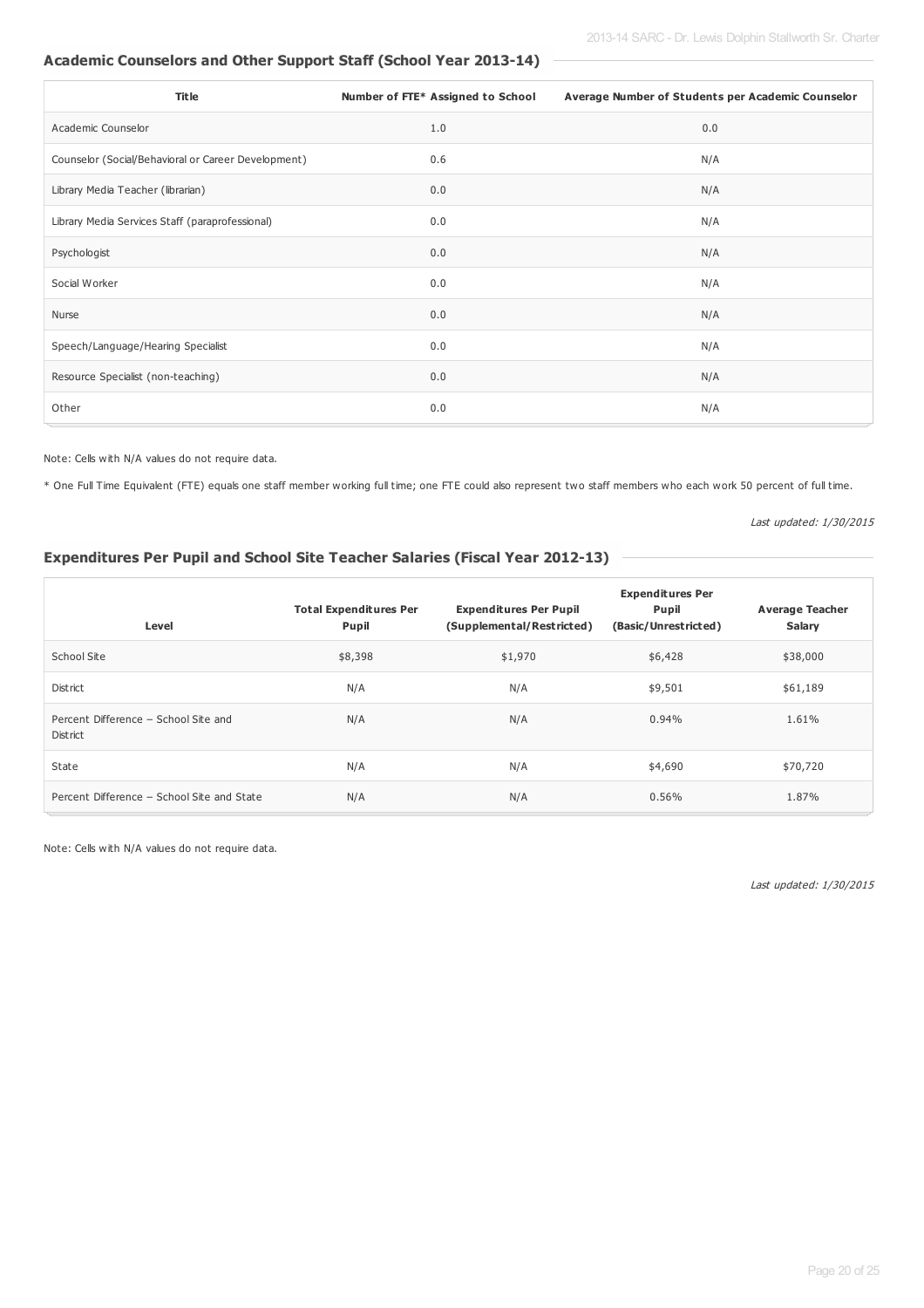# **Academic Counselors and Other Support Staff (School Year 2013-14)**

| <b>Title</b>                                        | Number of FTE* Assigned to School | Average Number of Students per Academic Counselor |
|-----------------------------------------------------|-----------------------------------|---------------------------------------------------|
| Academic Counselor                                  | 1.0                               | 0.0                                               |
| Counselor (Social/Behavioral or Career Development) | 0.6                               | N/A                                               |
| Library Media Teacher (librarian)                   | 0.0                               | N/A                                               |
| Library Media Services Staff (paraprofessional)     | 0.0                               | N/A                                               |
| Psychologist                                        | 0.0                               | N/A                                               |
| Social Worker                                       | 0.0                               | N/A                                               |
| Nurse                                               | 0.0                               | N/A                                               |
| Speech/Language/Hearing Specialist                  | 0.0                               | N/A                                               |
| Resource Specialist (non-teaching)                  | 0.0                               | N/A                                               |
| Other                                               | 0.0                               | N/A                                               |

Note: Cells with N/A values do not require data.

\* One Full Time Equivalent (FTE) equals one staff member working full time; one FTE could also represent two staff members who each work 50 percent of full time.

Last updated: 1/30/2015

## **Expenditures Per Pupil and School Site Teacher Salaries (Fiscal Year 2012-13)**

|                                                  |                                        | <b>Expenditures Per</b>                                    |                               |                                  |  |  |
|--------------------------------------------------|----------------------------------------|------------------------------------------------------------|-------------------------------|----------------------------------|--|--|
| Level                                            | <b>Total Expenditures Per</b><br>Pupil | <b>Expenditures Per Pupil</b><br>(Supplemental/Restricted) | Pupil<br>(Basic/Unrestricted) | <b>Average Teacher</b><br>Salary |  |  |
| School Site                                      | \$8,398                                | \$1,970                                                    | \$6,428                       | \$38,000                         |  |  |
| District                                         | N/A                                    | N/A                                                        | \$9,501                       | \$61,189                         |  |  |
| Percent Difference - School Site and<br>District | N/A                                    | N/A                                                        | 0.94%                         | 1.61%                            |  |  |
| State                                            | N/A                                    | N/A                                                        | \$4,690                       | \$70,720                         |  |  |
| Percent Difference - School Site and State       | N/A                                    | N/A                                                        | 0.56%                         | 1.87%                            |  |  |

Note: Cells with N/A values do not require data.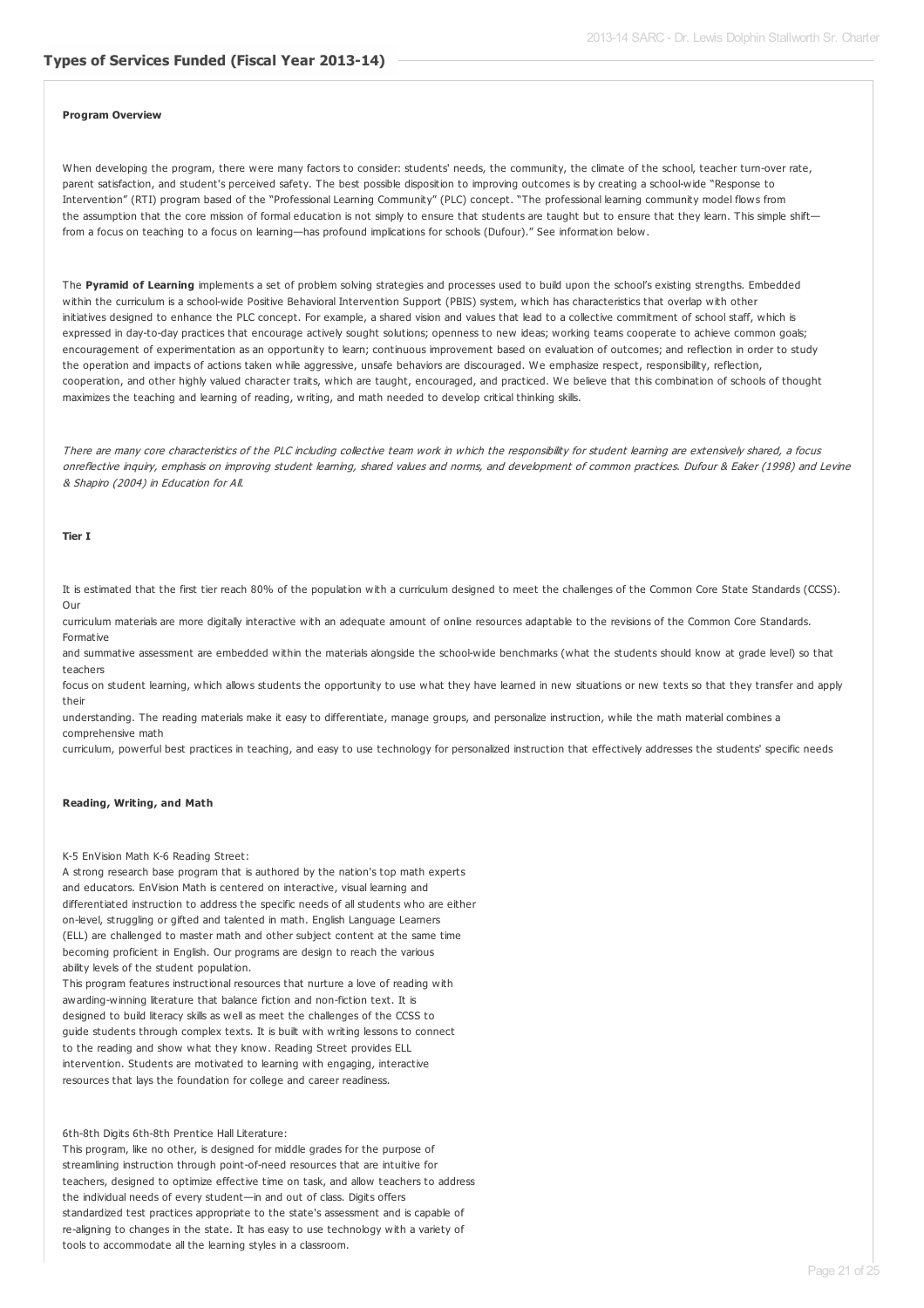#### **Program Overview**

When developing the program, there were many factors to consider: students' needs, the community, the climate of the school, teacher turn-over rate, parent satisfaction, and student's perceived safety. The best possible disposition to improving outcomes is by creating a school-wide "Response to Intervention" (RTI) program based of the "Professional Learning Community" (PLC) concept. "The professional learning community model flows from the assumption that the core mission of formal education is not simply to ensure that students are taught but to ensure that they learn. This simple shift from a focus on teaching to a focus on learning—has profound implications for schools (Dufour)." See information below.

The **Pyramid of Learning** implements a set of problem solving strategies and processes used to build upon the school's existing strengths. Embedded within the curriculum is a school-wide Positive Behavioral Intervention Support (PBIS) system, which has characteristics that overlap with other initiatives designed to enhance the PLC concept. For example, a shared vision and values that lead to a collective commitment of school staff, which is expressed in day-to-day practices that encourage actively sought solutions; openness to new ideas; working teams cooperate to achieve common goals; encouragement of experimentation as an opportunity to learn; continuous improvement based on evaluation of outcomes; and reflection in order to study the operation and impacts of actions taken while aggressive, unsafe behaviors are discouraged. We emphasize respect, responsibility, reflection, cooperation, and other highly valued character traits, which are taught, encouraged, and practiced. We believe that this combination of schools of thought maximizes the teaching and learning of reading, writing, and math needed to develop critical thinking skills.

There are many core characteristics of the PLC including collective team work in which the responsibility for student learning are extensively shared, <sup>a</sup> focus onreflective inquiry, emphasis on improving student learning, shared values and norms, and development of common practices. Dufour & Eaker (1998) and Levine & Shapiro (2004) in Education for All.

### **Tier I**

It is estimated that the first tier reach 80% of the population with a curriculum designed to meet the challenges of the Common Core State Standards (CCSS). Our

curriculum materials are more digitally interactive with an adequate amount of online resources adaptable to the revisions of the Common Core Standards. Formative

and summative assessment are embedded within the materials alongside the school-wide benchmarks (what the students should know at grade level) so that teachers

focus on student learning, which allows students the opportunity to use what they have learned in new situations or new texts so that they transfer and apply their

understanding. The reading materials make it easy to differentiate, manage groups, and personalize instruction, while the math material combines a comprehensive math

curriculum, powerful best practices in teaching, and easy to use technology for personalized instruction that effectively addresses the students' specific needs

#### **Reading, Writing, and Math**

K-5 EnVision Math K-6 Reading Street:

A strong research base program that is authored by the nation's top math experts and educators. EnVision Math is centered on interactive, visual learning and differentiated instruction to address the specific needs of all students who are either on-level, struggling or gifted and talented in math. English Language Learners (ELL) are challenged to master math and other subject content at the same time becoming proficient in English. Our programs are design to reach the various ability levels of the student population.

This program features instructional resources that nurture a love of reading with awarding-winning literature that balance fiction and non-fiction text. It is designed to build literacy skills as well as meet the challenges of the CCSS to guide students through complex texts. It is built with writing lessons to connect to the reading and show what they know. Reading Street provides ELL intervention. Students are motivated to learning with engaging, interactive resources that lays the foundation for college and career readiness.

6th-8th Digits 6th-8th Prentice Hall Literature:

This program, like no other, is designed for middle grades for the purpose of streamlining instruction through point-of-need resources that are intuitive for teachers, designed to optimize effective time on task, and allow teachers to address the individual needs of every student—in and out of class. Digits offers standardized test practices appropriate to the state's assessment and is capable of re-aligning to changes in the state. It has easy to use technology with a variety of tools to accommodate all the learning styles in a classroom.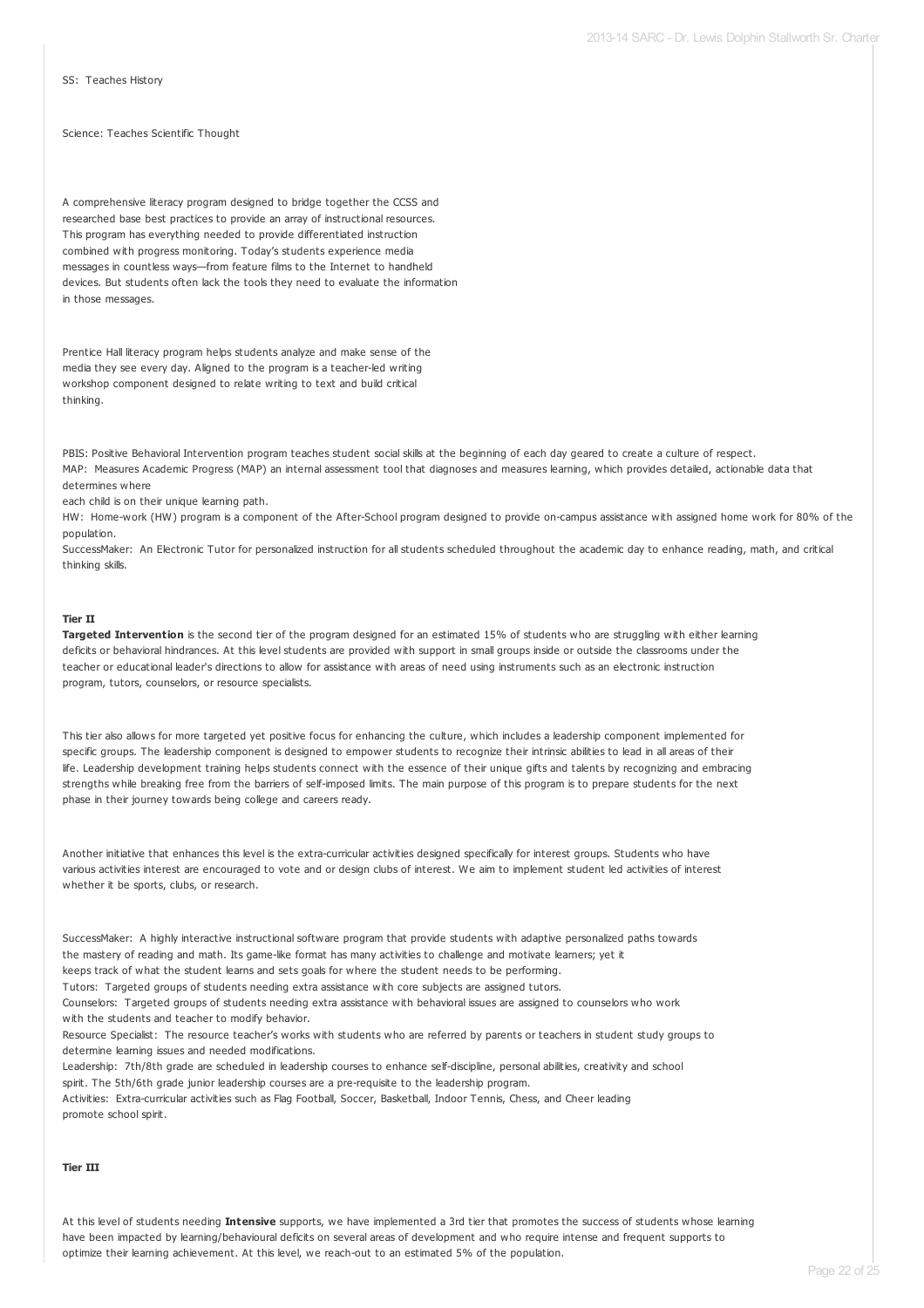SS: Teaches History

#### Science: Teaches Scientific Thought

A comprehensive literacy program designed to bridge together the CCSS and researched base best practices to provide an array of instructional resources. This program has everything needed to provide differentiated instruction combined with progress monitoring. Today's students experience media messages in countless ways—from feature films to the Internet to handheld devices. But students often lack the tools they need to evaluate the information in those messages.

Prentice Hall literacy program helps students analyze and make sense of the media they see every day. Aligned to the program is a teacher-led writing workshop component designed to relate writing to text and build critical thinking.

PBIS: Positive Behavioral Intervention program teaches student social skills at the beginning of each day geared to create a culture of respect. MAP: Measures Academic Progress (MAP) an internal assessment tool that diagnoses and measures learning, which provides detailed, actionable data that determines where

each child is on their unique learning path.

HW: Home-work (HW) program is a component of the After-School program designed to provide on-campus assistance with assigned home work for 80% of the population.

SuccessMaker: An Electronic Tutor for personalized instruction for all students scheduled throughout the academic day to enhance reading, math, and critical thinking skills.

### **Tier II**

**Targeted Intervention** is the second tier of the program designed for an estimated 15% of students who are struggling with either learning deficits or behavioral hindrances. At this level students are provided with support in small groups inside or outside the classrooms under the teacher or educational leader's directions to allow for assistance with areas of need using instruments such as an electronic instruction program, tutors, counselors, or resource specialists.

This tier also allows for more targeted yet positive focus for enhancing the culture, which includes a leadership component implemented for specific groups. The leadership component is designed to empower students to recognize their intrinsic abilities to lead in all areas of their life. Leadership development training helps students connect with the essence of their unique gifts and talents by recognizing and embracing strengths while breaking free from the barriers of self-imposed limits. The main purpose of this program is to prepare students for the next phase in their journey towards being college and careers ready.

Another initiative that enhances this level is the extra-curricular activities designed specifically for interest groups. Students who have various activities interest are encouraged to vote and or design clubs of interest. We aim to implement student led activities of interest whether it be sports, clubs, or research.

SuccessMaker: A highly interactive instructional software program that provide students with adaptive personalized paths towards the mastery of reading and math. Its game-like format has many activities to challenge and motivate learners; yet it

keeps track of what the student learns and sets goals for where the student needs to be performing. Tutors: Targeted groups of students needing extra assistance with core subjects are assigned tutors.

Counselors: Targeted groups of students needing extra assistance with behavioral issues are assigned to counselors who work with the students and teacher to modify behavior.

Resource Specialist: The resource teacher's works with students who are referred by parents or teachers in student study groups to determine learning issues and needed modifications.

Leadership: 7th/8th grade are scheduled in leadership courses to enhance self-discipline, personal abilities, creativity and school spirit. The 5th/6th grade junior leadership courses are a pre-requisite to the leadership program.

Activities: Extra-curricular activities such as Flag Football, Soccer, Basketball, Indoor Tennis, Chess, and Cheer leading promote school spirit.

### **Tier III**

At this level of students needing **Intensive** supports, we have implemented a 3rd tier that promotes the success of students whose learning have been impacted by learning/behavioural deficits on several areas of development and who require intense and frequent supports to optimize their learning achievement. At this level, we reach-out to an estimated 5% of the population.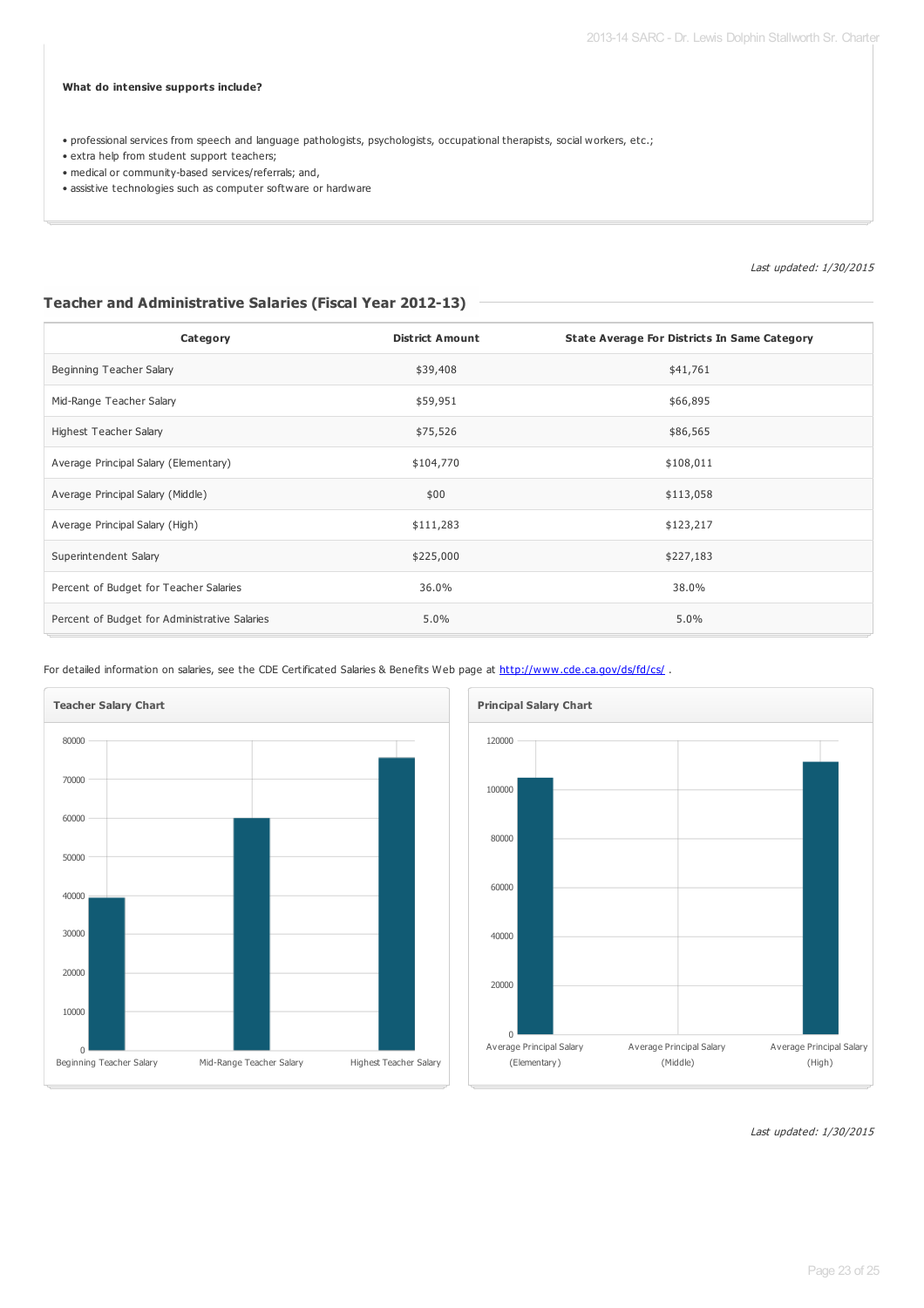### **What do intensive supports include?**

• professional services from speech and language pathologists, psychologists, occupational therapists, social workers, etc.;

- extra help from student support teachers;
- medical or community-based services/referrals; and,
- assistive technologies such as computer software or hardware

Last updated: 1/30/2015

## **Teacher and Administrative Salaries (Fiscal Year 2012-13)**

| Category                                      | <b>District Amount</b> | <b>State Average For Districts In Same Category</b> |
|-----------------------------------------------|------------------------|-----------------------------------------------------|
| Beginning Teacher Salary                      | \$39,408               | \$41,761                                            |
| Mid-Range Teacher Salary                      | \$59,951               | \$66,895                                            |
| Highest Teacher Salary                        | \$75,526               | \$86,565                                            |
| Average Principal Salary (Elementary)         | \$104,770              | \$108,011                                           |
| Average Principal Salary (Middle)             | \$00                   | \$113,058                                           |
| Average Principal Salary (High)               | \$111,283              | \$123,217                                           |
| Superintendent Salary                         | \$225,000              | \$227,183                                           |
| Percent of Budget for Teacher Salaries        | 36.0%                  | 38.0%                                               |
| Percent of Budget for Administrative Salaries | 5.0%                   | 5.0%                                                |

For detailed information on salaries, see the CDE Certificated Salaries & Benefits Web page at <http://www.cde.ca.gov/ds/fd/cs/> .



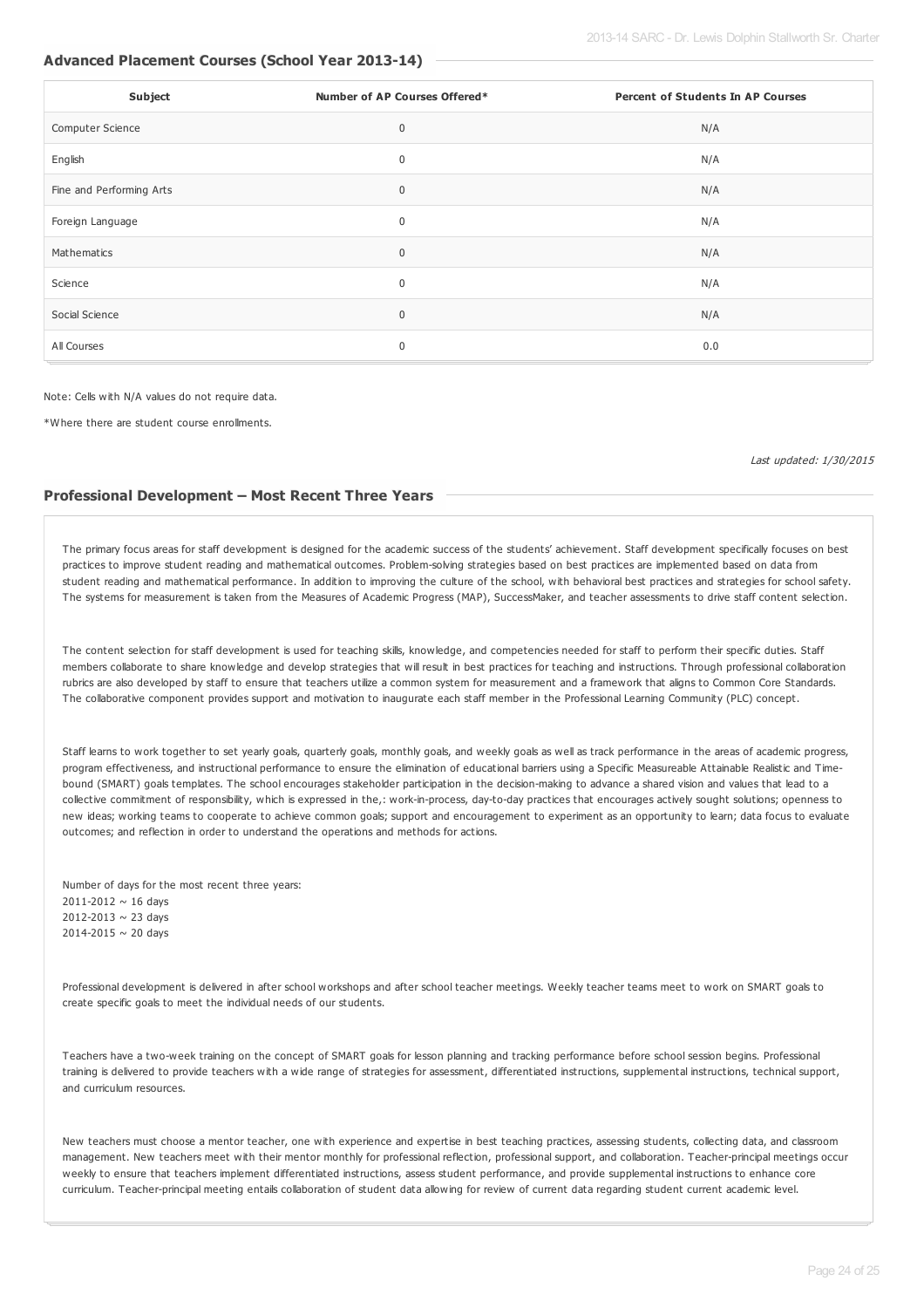### **Advanced Placement Courses (School Year 2013-14)**

| Subject                  | Number of AP Courses Offered* | <b>Percent of Students In AP Courses</b> |
|--------------------------|-------------------------------|------------------------------------------|
| Computer Science         | $\mathbf 0$                   | N/A                                      |
| English                  | $\mathbf 0$                   | N/A                                      |
| Fine and Performing Arts | $\mathbf 0$                   | N/A                                      |
| Foreign Language         | 0                             | N/A                                      |
| Mathematics              | $\mathbf 0$                   | N/A                                      |
| Science                  | 0                             | N/A                                      |
| Social Science           | $\mathbf 0$                   | N/A                                      |
| All Courses              | 0                             | 0.0                                      |

Note: Cells with N/A values do not require data.

\*Where there are student course enrollments.

Last updated: 1/30/2015

### **Professional Development – Most Recent Three Years**

The primary focus areas for staff development is designed for the academic success of the students' achievement. Staff development specifically focuses on best practices to improve student reading and mathematical outcomes. Problem-solving strategies based on best practices are implemented based on data from student reading and mathematical performance. In addition to improving the culture of the school, with behavioral best practices and strategies for school safety. The systems for measurement is taken from the Measures of Academic Progress (MAP), SuccessMaker, and teacher assessments to drive staff content selection.

The content selection for staff development is used for teaching skills, knowledge, and competencies needed for staff to perform their specific duties. Staff members collaborate to share knowledge and develop strategies that will result in best practices for teaching and instructions. Through professional collaboration rubrics are also developed by staff to ensure that teachers utilize a common system for measurement and a framework that aligns to Common Core Standards. The collaborative component provides support and motivation to inaugurate each staff member in the Professional Learning Community (PLC) concept.

Staff learns to work together to set yearly goals, quarterly goals, monthly goals, and weekly goals as well as track performance in the areas of academic progress, program effectiveness, and instructional performance to ensure the elimination of educational barriers using a Specific Measureable Attainable Realistic and Timebound (SMART) goals templates. The school encourages stakeholder participation in the decision-making to advance a shared vision and values that lead to a collective commitment of responsibility, which is expressed in the,: work-in-process, day-to-day practices that encourages actively sought solutions; openness to new ideas; working teams to cooperate to achieve common goals; support and encouragement to experiment as an opportunity to learn; data focus to evaluate outcomes; and reflection in order to understand the operations and methods for actions.

Number of days for the most recent three years: 2011-2012 ~ 16 days 2012-2013 ~ 23 days 2014-2015 ~ 20 days

Professional development is delivered in after school workshops and after school teacher meetings. Weekly teacher teams meet to work on SMART goals to create specific goals to meet the individual needs of our students.

Teachers have a two-week training on the concept of SMART goals for lesson planning and tracking performance before school session begins. Professional training is delivered to provide teachers with a wide range of strategies for assessment, differentiated instructions, supplemental instructions, technical support, and curriculum resources.

New teachers must choose a mentor teacher, one with experience and expertise in best teaching practices, assessing students, collecting data, and classroom management. New teachers meet with their mentor monthly for professional reflection, professional support, and collaboration. Teacher-principal meetings occur weekly to ensure that teachers implement differentiated instructions, assess student performance, and provide supplemental instructions to enhance core curriculum. Teacher-principal meeting entails collaboration of student data allowing for review of current data regarding student current academic level.